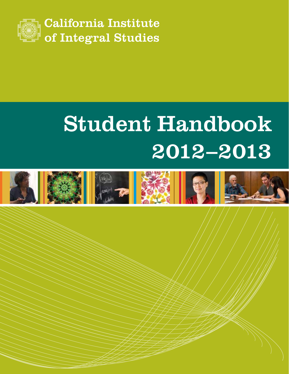

# Student Handbook 2012–2013

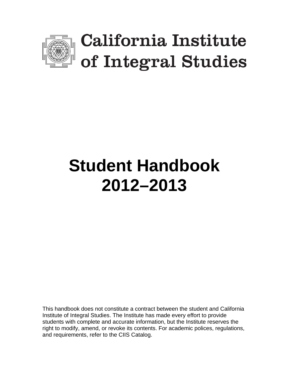

# **Student Handbook 2012–2013**

This handbook does not constitute a contract between the student and California Institute of Integral Studies. The Institute has made every effort to provide students with complete and accurate information, but the Institute reserves the right to modify, amend, or revoke its contents. For academic polices, regulations, and requirements, refer to the CIIS Catalog.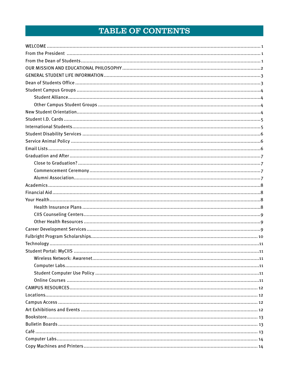## **TABLE OF CONTENTS**

<span id="page-2-0"></span>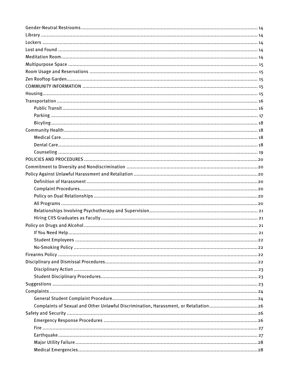| Complaints of Sexual and Other Unlawful Discrimination, Harassment, or Retaliation26 |  |
|--------------------------------------------------------------------------------------|--|
|                                                                                      |  |
|                                                                                      |  |
|                                                                                      |  |
|                                                                                      |  |
|                                                                                      |  |
|                                                                                      |  |
|                                                                                      |  |
|                                                                                      |  |
|                                                                                      |  |
|                                                                                      |  |
|                                                                                      |  |
|                                                                                      |  |
|                                                                                      |  |
|                                                                                      |  |
|                                                                                      |  |
|                                                                                      |  |
|                                                                                      |  |
|                                                                                      |  |
|                                                                                      |  |
|                                                                                      |  |
|                                                                                      |  |
|                                                                                      |  |
|                                                                                      |  |
|                                                                                      |  |
|                                                                                      |  |
|                                                                                      |  |
|                                                                                      |  |
|                                                                                      |  |
|                                                                                      |  |
|                                                                                      |  |
|                                                                                      |  |
|                                                                                      |  |
|                                                                                      |  |
|                                                                                      |  |
|                                                                                      |  |
|                                                                                      |  |
|                                                                                      |  |
|                                                                                      |  |
|                                                                                      |  |
|                                                                                      |  |
|                                                                                      |  |
|                                                                                      |  |
|                                                                                      |  |
|                                                                                      |  |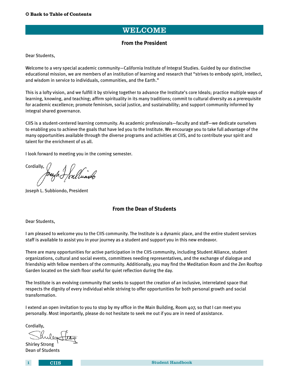## WELCOME

#### **From the President**

<span id="page-5-0"></span>Dear Students,

Welcome to a very special academic community—California Institute of Integral Studies. Guided by our distinctive educational mission, we are members of an institution of learning and research that "strives to embody spirit, intellect, and wisdom in service to individuals, communities, and the Earth."

This is a lofty vision, and we fulfill it by striving together to advance the Institute's core Ideals; practice multiple ways of learning, knowing, and teaching; affirm spirituality in its many traditions; commit to cultural diversity as a prerequisite for academic excellence; promote feminism, social justice, and sustainability; and support community informed by integral shared governance.

CIIS is a student-centered learning community. As academic professionals—faculty and staff—we dedicate ourselves to enabling you to achieve the goals that have led you to the Institute. We encourage you to take full advantage of the many opportunities available through the diverse programs and activities at CIIS, and to contribute your spirit and talent for the enrichment of us all.

I look forward to meeting you in the coming semester.

Cordially,

Joseph L. Subbiondo, President

#### **From the Dean of Students**

Dear Students,

I am pleased to welcome you to the CIIS community. The Institute is a dynamic place, and the entire student services staff is available to assist you in your journey as a student and support you in this new endeavor.

There are many opportunities for active participation in the CIIS community, including Student Alliance, student organizations, cultural and social events, committees needing representatives, and the exchange of dialogue and friendship with fellow members of the community. Additionally, you may find the Meditation Room and the Zen Rooftop Garden located on the sixth floor useful for quiet reflection during the day.

The Institute is an evolving community that seeks to support the creation of an inclusive, interrelated space that respects the dignity of every individual while striving to offer opportunities for both personal growth and social transformation.

I extend an open invitation to you to stop by my office in the Main Building, Room 407, so that I can meet you personally. Most importantly, please do not hesitate to seek me out if you are in need of assistance.

Cordially,

Shirley Strong Dean of Students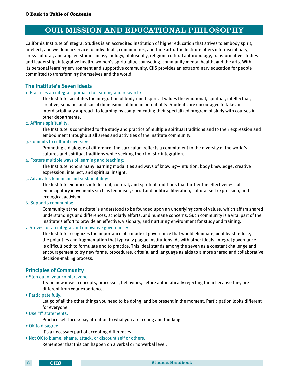## OUR MISSION AND EDUCATIONAL PHILOSOPHY

<span id="page-6-0"></span>California Institute of Integral Studies is an accredited institution of higher education that strives to embody spirit, intellect, and wisdom in service to individuals, communities, and the Earth. The Institute offers interdisciplinary, cross-cultural, and applied studies in psychology, philosophy, religion, cultural anthropology, transformative studies and leadership, integrative health, women's spirituality, counseling, community mental health, and the arts. With its personal learning environment and supportive community, CIIS provides an extraordinary education for people committed to transforming themselves and the world.

#### **The Institute's Seven Ideals**

#### 1. Practices an integral approach to learning and research:

 The Institute facilitates the integration of body-mind-spirit. It values the emotional, spiritual, intellectual, creative, somatic, and social dimensions of human potentiality. Students are encouraged to take an interdisciplinary approach to learning by complementing their specialized program of study with courses in other departments.

#### 2. Affirms spirituality:

 The Institute is committed to the study and practice of multiple spiritual traditions and to their expression and embodiment throughout all areas and activities of the Institute community.

#### 3. Commits to cultural diversity:

 Promoting a dialogue of difference, the curriculum reflects a commitment to the diversity of the world's cultures and spiritual traditions while seeking their holistic integration.

#### 4. Fosters multiple ways of learning and teaching:

 The Institute honors many learning modalities and ways of knowing—intuition, body knowledge, creative expression, intellect, and spiritual insight.

#### 5. Advocates feminism and sustainability:

 The Institute embraces intellectual, cultural, and spiritual traditions that further the effectiveness of emancipatory movements such as feminism, social and political liberation, cultural self-expression, and ecological activism.

#### 6. Supports community:

 Community at the Institute is understood to be founded upon an underlying core of values, which affirm shared understandings and differences, scholarly efforts, and humane concerns. Such community is a vital part of the Institute's effort to provide an effective, visionary, and nurturing environment for study and training.

#### 7. Strives for an integral and innovative governance:

 The Institute recognizes the importance of a mode of governance that would eliminate, or at least reduce, the polarities and fragmentation that typically plague institutions. As with other ideals, integral governance is difficult both to formulate and to practice. This ideal stands among the seven as a constant challenge and encouragement to try new forms, procedures, criteria, and language as aids to a more shared and collaborative decision-making process.

### **Principles of Community**

#### • Step out of your comfort zone.

 Try on new ideas, concepts, processes, behaviors, before automatically rejecting them because they are different from your experience.

• Participate fully.

 Let go of all the other things you need to be doing, and be present in the moment. Participation looks different for everyone.

• Use "I" statements.

Practice self-focus: pay attention to what you are feeling and thinking.

• OK to disagree.

It's a necessary part of accepting differences.

• Not OK to blame, shame, attack, or discount self or others.

Remember that this can happen on a verbal or nonverbal level.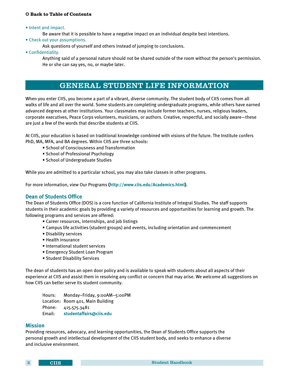<span id="page-7-0"></span>• Intent and impact.

Be aware that it is possible to have a negative impact on an individual despite best intentions.

- Check out your assumptions.
	- Ask questions of yourself and others instead of jumping to conclusions.
- Confidentiality.

 Anything said of a personal nature should not be shared outside of the room without the person's permission. He or she can say yes, no, or maybe later.

## GENERAL STUDENT LIFE INFORMATION

When you enter CIIS, you become a part of a vibrant, diverse community. The student body of CIIS comes from all walks of life and all over the world. Some students are completing undergraduate programs, while others have earned advanced degrees at other institutions. Your classmates may include former teachers, nurses, religious leaders, corporate executives, Peace Corps volunteers, musicians, or authors. Creative, respectful, and socially aware—these are just a few of the words that describe students at CIIS.

At CIIS, your education is based on traditional knowledge combined with visions of the future. The Institute confers PhD, MA, MFA, and BA degrees. Within CIIS are three schools:

- School of Consciousness and Transformation
- School of Professional Psychology
- School of Undergraduate Studies

While you are admitted to a particular school, you may also take classes in other programs.

For more information, view Our Programs **([http://www.ciis.edu/Academics.html\)](http://ciis.edu/Academics.html)**.

#### **Dean of Students Office**

The Dean of Students Office (DOS) is a core function of California Institute of Integral Studies. The staff supports students in their academic goals by providing a variety of resources and opportunities for learning and growth. The following programs and services are offered:

- Career resources, internships, and job listings
- Campus life activities (student groups) and events, including orientation and commencement
- Disability services
- Health insurance
- International student services
- Emergency Student Loan Program
- Student Disability Services

The dean of students has an open door policy and is available to speak with students about all aspects of their experience at CIIS and assist them in resolving any conflict or concern that may arise. We welcome all suggestions on how CIIS can better serve its student community.

 Hours: Monday–Friday, 9:00AM–5:00PM Location: Room 401, Main Building Phone: 415.575.3481 Email: **[studentaffairs@ciis.edu]( studentaffairs@ciis.edu)**

#### **Mission**

Providing resources, advocacy, and learning opportunities, the Dean of Students Office supports the personal growth and intellectual development of the CIIS student body, and seeks to enhance a diverse and inclusive environment.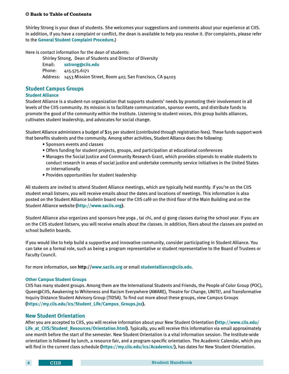<span id="page-8-0"></span>Shirley Strong is your dean of students. She welcomes your suggestions and comments about your experience at CIIS. In addition, if you have a complaint or conflict, the dean is available to help you resolve it. (For complaints, please refer to the **[General Student Complaint Procedure.](#page-27-0)**)

Here is contact information for the dean of students:

Shirley Strong, Dean of Students and Director of Diversity Email: **<sstrong@ciis.edu>** Phone: 415.575.6171 Address: 1453 Mission Street, Room 407, San Francisco, CA 94103

## **Student Campus Groups**

#### **Student Alliance**

Student Alliance is a student-run organization that supports students' needs by promoting their involvement in all levels of the CIIS community. Its mission is to facilitate communication, sponsor events, and distribute funds to promote the good of the community within the Institute. Listening to student voices, this group builds alliances, cultivates student leadership, and advocates for social change.

Student Alliance administers a budget of \$25 per student (contributed through registration fees). These funds support work that benefits students and the community. Among other activities, Student Alliance does the following:

- Sponsors events and classes
- Offers funding for student projects, groups, and participation at educational conferences
- Manages the Social Justice and Community Research Grant, which provides stipends to enable students to conduct research in areas of social justice and undertake community service initiatives in the United States or internationally
- Provides opportunities for student leadership

All students are invited to attend Student Alliance meetings, which are typically held monthly. If you're on the CIIS student email listserv, you will receive emails about the dates and locations of meetings. This information is also posted on the Student Alliance bulletin board near the CIIS café on the third floor of the Main Building and on the Student Alliance website **(<http://www.saciis.org>)**.

Student Alliance also organizes and sponsors free yoga , tai chi, and qi gong classes during the school year. If you are on the CIIS student listserv, you will receive emails about the classes. In addition, fliers about the classes are posted on school bulletin boards.

If you would like to help build a supportive and innovative community, consider participating in Student Alliance. You can take on a formal role, such as being a program representative or student representative to the Board of Trustees or Faculty Council.

For more information, see **http://<www.saciis.org>** or email **[studentalliance@ciis.edu]( studentalliance@ciis.edu)**.

#### **Other Campus Student Groups**

CIIS has many student groups. Among them are the International Students and Friends, the People of Color Group (POC), Queer@CIIS, Awakening to Whiteness and Racism Everywhere (AWARE), Theatre for Change, UNITE!, and Transformative Inquiry Distance Student Advisory Group (TIDSA). To find out more about these groups, view Campus Groups **[\(https://my.ciis.edu/ics/Student\\_Life/Campus\\_Groups.jnz](https://my.ciis.edu/ics/Student_Life/Campus_Groups.jnz)).**

#### **New Student Orientation**

After you are accepted to CIIS, you will receive information about your New Student Orientation **([http://www.ciis.edu/](http://ciis.edu/Life_at_CIIS/Student_Resources/New_Student_Orientation.html) [Life\\_at\\_CIIS/Student\\_Resources/Orientation.html\)](http://ciis.edu/Life_at_CIIS/Student_Resources/New_Student_Orientation.html)**. Typically, you will receive this information via email approximately one month before the start of the semester. New Student Orientation is a vital information session. The Institute-wide orientation is followed by lunch, a resource fair, and a program-specific orientation. The Academic Calendar, which you will find in the current class schedule **(<https://my.ciis.edu/ics/Academics/>)**, has dates for New Student Orientation.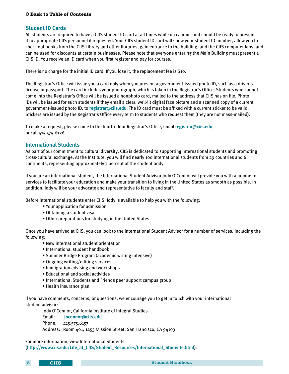#### <span id="page-9-0"></span>**Student ID Cards**

All students are required to have a CIIS student ID card at all times while on campus and should be ready to present it to appropriate CIIS personnel if requested. Your CIIS student ID card will show your student ID number, allow you to check out books from the CIIS Library and other libraries, gain entrance to the building, and the CIIS computer labs, and can be used for discounts at certain businesses. Please note that everyone entering the Main Building must present a CIIS ID. You receive an ID card when you first register and pay for courses.

There is no charge for the initial ID card. If you lose it, the replacement fee is \$10.

The Registrar's Office will issue you a card only when you present a government-issued photo ID, such as a driver's license or passport. The card includes your photograph, which is taken in the Registrar's Office. Students who cannot come into the Registrar's Office will be issued a nonphoto card, mailed to the address that CIIS has on file. Photo IDs will be issued for such students if they email a clear, well-lit digital face picture and a scanned copy of a current government-issued photo ID, to **<registrar@ciis.edu>**. The ID card must be affixed with a current sticker to be valid. Stickers are issued by the Registrar's Office every term to students who request them (they are not mass-mailed).

To make a request, please come to the fourth-floor Registrar's Office, email **<registrar@ciis.edu>**, or call 415.575.6126.

#### **International Students**

As part of our commitment to cultural diversity, CIIS is dedicated to supporting international students and promoting cross-cultural exchange. At the Institute, you will find nearly 100 international students from 29 countries and 6 continents, representing approximately 7 percent of the student body.

If you are an international student, the International Student Advisor Jody O'Connor will provide you with a number of services to facilitate your education and make your transition to living in the United States as smooth as possible. In addition, Jody will be your advocate and representative to faculty and staff.

Before international students enter CIIS, Jody is available to help you with the following:

- Your application for admission
- Obtaining a student visa
- Other preparations for studying in the United States

Once you have arrived at CIIS, you can look to the International Student Advisor for a number of services, including the following:

- New international student orientation
- International student handbook
- Summer Bridge Program (academic writing intensive)
- Ongoing writing/editing services
- Immigration advising and workshops
- Educational and social activities
- International Students and Friends peer support campus group
- Health insurance plan

If you have comments, concerns, or questions, we encourage you to get in touch with your international student advisor:

Jody O'Connor, California Institute of Integral Studies

Email: **[joconnor@ciis.edu]( joconnor@ciis.edu)**

Phone: 415.575.6157

Address: Room 401, 1453 Mission Street, San Francisco, CA 94103

For more information, view International Students **[\(http://www.ciis.edu/Life\\_at\\_CIIS/Student\\_Resources/International\\_Students.html](http://www.ciis.edu/Life_at_CIIS/Student_Resources/International_Students.html))**.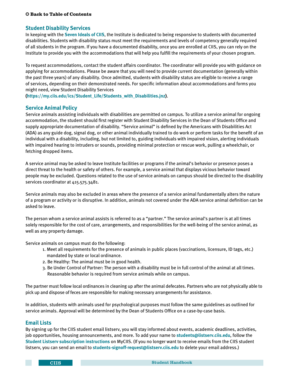#### <span id="page-10-0"></span>**Student Disability Services**

In keeping with the **[Seven Ideals of CIIS](#page-6-0)**, the Institute is dedicated to being responsive to students with documented disabilities. Students with disability status must meet the requirements and levels of competency generally required of all students in the program. If you have a documented disability, once you are enrolled at CIIS, you can rely on the Institute to provide you with the accommodations that will help you fulfill the requirements of your chosen program.

To request accommodations, contact the student affairs coordinator. The coordinator will provide you with guidance on applying for accommodations. Please be aware that you will need to provide current documentation (generally within the past three years) of any disability. Once admitted, students with disability status are eligible to receive a range of services, depending on their demonstrated needs. For specific information about accommodations and forms you might need, view Student Disability Services

**[\(https://my.ciis.edu/ics/Student\\_Life/Students\\_with\\_Disabilities.jnz](https://my.ciis.edu/ics/Student_Life/Students_with_Disabilities.jnz))**.

#### **Service Animal Policy**

Service animals assisting individuals with disabilities are permitted on campus. To utilize a service animal for ongoing accommodation, the student should first register with Student Disability Services in the Dean of Students Office and supply appropriate documentation of disability. "Service animal" is defined by the Americans with Disabilities Act (ADA) as any guide dog, signal dog, or other animal individually trained to do work or perform tasks for the benefit of an individual with a disability, including, but not limited to, guiding individuals with impaired vision, alerting individuals with impaired hearing to intruders or sounds, providing minimal protection or rescue work, pulling a wheelchair, or fetching dropped items.

A service animal may be asked to leave Institute facilities or programs if the animal's behavior or presence poses a direct threat to the health or safety of others. For example, a service animal that displays vicious behavior toward people may be excluded. Questions related to the use of service animals on campus should be directed to the disability services coordinator at 415.575.3481.

Service animals may also be excluded in areas where the presence of a service animal fundamentally alters the nature of a program or activity or is disruptive. In addition, animals not covered under the ADA service animal definition can be asked to leave.

The person whom a service animal assists is referred to as a "partner." The service animal's partner is at all times solely responsible for the cost of care, arrangements, and responsibilities for the well-being of the service animal, as well as any property damage.

Service animals on campus must do the following:

- 1. Meet all requirements for the presence of animals in public places (vaccinations, licensure, ID tags, etc.) mandated by state or local ordinance.
- 2. Be Healthy: The animal must be in good health.
- 3. Be Under Control of Partner: The person with a disability must be in full control of the animal at all times. Reasonable behavior is required from service animals while on campus.

The partner must follow local ordinances in cleaning up after the animal defecates. Partners who are not physically able to pick up and dispose of feces are responsible for making necessary arrangements for assistance.

In addition, students with animals used for psychological purposes must follow the same guidelines as outlined for service animals. Approval will be determined by the Dean of Students Office on a case-by-case basis.

#### **Email Lists**

By signing up for the CIIS student email listserv, you will stay informed about events, academic deadlines, activities, job opportunities, housing announcements, and more. To add your name to **[students@listserv.ciis.edu](mailto:students%40listserv.ciis.edu?subject=)**, follow the **[Student Listserv subscription instructions](https://my.ciis.edu/ICS/Student_Life/Student_Listserv.jnz)** on MyCIIS. (If you no longer want to receive emails from the CIIS student listserv, you can send an email to **[students-signoff-request@listserv.ciis.edu](mailto:students-signoff-request%40listserv.ciis.edu?subject=)** to delete your email address.)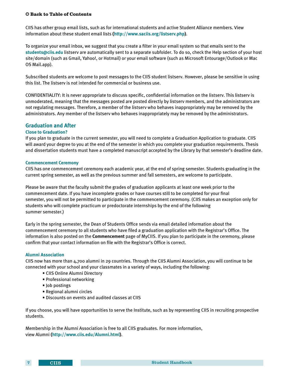<span id="page-11-0"></span>CIIS has other group email lists, such as for international students and active Student Alliance members. View information about these student email lists **[\(http://www.saciis.org/listserv.php](http://www.saciis.org/listserv.php))**.

To organize your email inbox, we suggest that you create a filter in your email system so that emails sent to the **<students@ciis.edu>** listserv are automatically sent to a separate subfolder. To do so, check the Help section of your host site/domain (such as Gmail, Yahoo!, or Hotmail) or your email software (such as Microsoft Entourage/Outlook or Mac OS Mail.app).

Subscribed students are welcome to post messages to the CIIS student listserv. However, please be sensitive in using this list. The listserv is not intended for commercial or business use.

CONFIDENTIALITY: It is never appropriate to discuss specific, confidential information on the listserv. This listserv is unmoderated, meaning that the messages posted are posted directly by listserv members, and the administrators are not regulating messages. Therefore, a member of the listserv who behaves inappropriately may be removed by the administrators. Any member of the listserv who behaves inappropriately may be removed by the administrators.

#### **Graduation and After**

#### **Close to Graduation?**

If you plan to graduate in the current semester, you will need to complete a Graduation Application to graduate. CIIS will award your degree to you at the end of the semester in which you complete your graduation requirements. Thesis and dissertation students must have a completed manuscript accepted by the Library by that semester's deadline date.

#### **Commencement Ceremony**

CIIS has one commencement ceremony each academic year, at the end of spring semester. Students graduating in the current spring semester, as well as the previous summer and fall semesters, are welcome to participate.

Please be aware that the faculty submit the grades of graduation applicants at least one week prior to the commencement date. If you have incomplete grades or have courses still to be completed for your final semester, you will not be permitted to participate in the commencement ceremony. (CIIS makes an exception only for students who will complete practicum or predoctorate internships by the end of the following summer semester.)

Early in the spring semester, the Dean of Students Office sends via email detailed information about the commencement ceremony to all students who have filed a graduation application with the Registrar's Office. The information is also posted on the **Commencement** page of MyCIIS. If you plan to participate in the ceremony, please confirm that your contact information on file with the Registrar's Office is correct.

#### **Alumni Association**

CIIS now has more than 4,700 alumni in 29 countries. Through the CIIS Alumni Association, you will continue to be connected with your school and your classmates in a variety of ways, including the following:

- CIIS Online Alumni Directory
- Professional networking
- Job postings
- Regional alumni circles
- Discounts on events and audited classes at CIIS

If you choose, you will have opportunities to serve the Institute, such as by representing CIIS in recruiting prospective students.

Membership in the Alumni Association is free to all CIIS graduates. For more information, view Alumni **[\(http://www.ciis.edu/Alumni.html\)](http://www.ciis.edu/Alumni.html)**.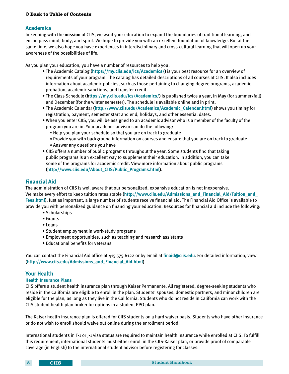#### <span id="page-12-0"></span> $©$  [Back to Table of Contents](#page-2-0)

#### **Academics**

In keeping with the **[mission](#page-27-0)** of CIIS, we want your education to expand the boundaries of traditional learning, and encompass mind, body, and spirit. We hope to provide you with an excellent foundation of knowledge. But at the same time, we also hope you have experiences in interdisciplinary and cross-cultural learning that will open up your awareness of the possibilities of life.

As you plan your education, you have a number of resources to help you:

- The Academic Catalog **[\(https://my.ciis.edu/ics/Academics/\)](https://my.ciis.edu/ics/Academics/)** is your best resource for an overview of requirements of your program. The catalog has detailed descriptions of all courses at CIIS. It also includes information about academic policies, such as those pertaining to changing degree programs, academic probation, academic sanctions, and transfer credit.
- The Class Schedule **(<https://my.ciis.edu/ics/Academics/>)** is published twice a year, in May (for summer/fall) and December (for the winter semester). The schedule is available online and in print.
- The Academic Calendar **([http://www.ciis.edu/Academics/Academic\\_Calendar.html\)](http://www.ciis.edu/Academics/Academic_Calendar.html)** shows you timing for registration, payment, semester start and end, holidays, and other essential dates.
- When you enter CIIS, you will be assigned to an academic advisor who is a member of the faculty of the program you are in. Your academic advisor can do the following:
	- ° Help you plan your schedule so that you are on track to graduate
	- ° Provide you with background information on courses and ensure that you are on track to graduate ° Answer any questions you have
- CIIS offers a number of public programs throughout the year. Some students find that taking public programs is an excellent way to supplement their education. In addition, you can take some of the programs for academic credit. View more information about public programs **[\(http://www.ciis.edu/About\\_CIIS/Public\\_Programs.html](http://www.ciis.edu/About_CIIS/Public_Programs.html))**.

#### **Financial Aid**

The administration of CIIS is well aware that our personalized, expansive education is not inexpensive. We make every effort to keep tuition rates stable **[\(http://www.ciis.edu/Admissions\\_and\\_Financial\\_Aid/Tuition\\_and\\_](http://www.ciis.edu/Admissions_and_Financial_Aid/Tuition_and_Fees.html) [Fees.html\)](http://www.ciis.edu/Admissions_and_Financial_Aid/Tuition_and_Fees.html)**. Just as important, a large number of students receive financial aid. The Financial Aid Office is available to provide you with personalized guidance on financing your education. Resources for financial aid include the following:

- Scholarships
- Grants
- Loans
- Student employment in work-study programs
- Employment opportunities, such as teaching and research assistants
- Educational benefits for veterans

You can contact the Financial Aid office at 415.575.6122 or by email at **<finaid@ciis.edu>**. For detailed information, view **[\(http://www.ciis.edu/Admissions\\_and\\_Financial\\_Aid.html\)](http://ciis.edu/Admissions_and_Financial_Aid/Financial_Aid.html)**.

#### **Your Health**

#### **Health Insurance Plans**

CIIS offers a student health insurance plan through Kaiser Permanente. All registered, degree-seeking students who reside in the California are eligible to enroll in the plan. Students' spouses, domestic partners, and minor children are eligible for the plan, as long as they live in the California. Students who do not reside in California can work with the CIIS student health plan broker for options in a student PPO plan.

The Kaiser health insurance plan is offered for CIIS students on a hard waiver basis. Students who have other insurance or do not wish to enroll should waive out online during the enrollment period.

International students in F-1 or J-1 visa status are required to maintain health insurance while enrolled at CIIS. To fulfill this requirement, international students must either enroll in the CIIS-Kaiser plan, or provide proof of comparable coverage (in English) to the international student advisor before registering for classes.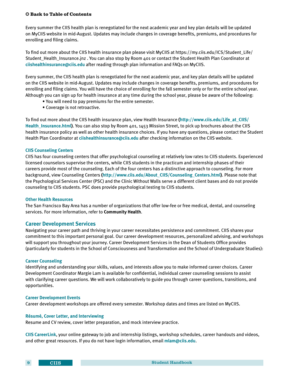<span id="page-13-0"></span>Every summer the CIIS health plan is renegotiated for the next academic year and key plan details will be updated on MyCIIS website in mid-August. Updates may include changes in coverage benefits, premiums, and procedures for enrolling and filing claims.

To find out more about the CIIS health insurance plan please visit MyCIIS at https://my.ciis.edu/ICS/Student\_Life/ Student Health Insurance.jnz . You can also stop by Room 401 or contact the Student Health Plan Coordinator at **[ciishealthinsurance@ciis.edu](mailto:ciishealthinsurance%40ciis.edu?subject=)** after reading through plan information and FAQs on MyCIIS.

Every summer, the CIIS health plan is renegotiated for the next academic year, and key plan details will be updated on the CIIS website in mid-August. Updates may include changes in coverage benefits, premiums, and procedures for enrolling and filing claims. You will have the choice of enrolling for the fall semester only or for the entire school year. Although you can sign up for health insurance at any time during the school year, please be aware of the following:

- You will need to pay premiums for the entire semester.
- Coverage is not retroactive.

To find out more about the CIIS health insurance plan, view Health Insurance **[\(http://www.ciis.edu/Life\\_at\\_CIIS/](http://www.ciis.edu/Life_at_CIIS/Health_Insurance.html) [Health\\_Insurance.html](http://www.ciis.edu/Life_at_CIIS/Health_Insurance.html))**. You can also stop by Room 401, 1453 Mission Street, to pick up brochures about the CIIS health insurance policy as well as other health insurance choices. If you have any questions, please contact the Student Health Plan Coordinator at **<ciishealthinsurance@ciis.edu>** after checking information on the CIIS website.

#### **CIIS Counseling Centers**

CIIS has four counseling centers that offer psychological counseling at relatively low rates to CIIS students. Experienced licensed counselors supervise the centers, while CIIS students in the practicum and internship phases of their careers provide most of the counseling. Each of the four centers has a distinctive approach to counseling. For more background, view Counseling Centers **([http://www.ciis.edu/About\\_CIIS/Counseling\\_Centers.html](http://www.ciis.edu/About_CIIS/Counseling_Centers.html))**. Please note that the Psychological Services Center (PSC) and the Clinic Without Walls serve a different client bases and do not provide counseling to CIIS students. PSC does provide psychological testing to CIIS students.

#### **Other Health Resources**

The San Francisco Bay Area has a number of organizations that offer low-fee or free medical, dental, and counseling services. For more information, refer to **Community Health**.

#### **Career Development Services**

Navigating your career path and thriving in your career necessitates persistence and commitment. CIIS shares your commitment to this important personal goal. Our career development resources, personalized advising, and workshops will support you throughout your journey. Career Development Services in the Dean of Students Office provides (particularly for students in the School of Consciousness and Transformation and the School of Undergraduate Studies):

#### **Career Counseling**

Identifying and understanding your skills, values, and interests allow you to make informed career choices. Career Development Coordinator Margie Lam is available for confidential, individual career counseling sessions to assist with clarifying career questions. We will work collaboratively to guide you through career questions, transitions, and opportunities.

#### **Career Development Events**

Career development workshops are offered every semester. Workshop dates and times are listed on MyCIIS.

#### **Résumé, Cover Letter, and Interviewing**

Resume and CV review, cover letter preparation, and mock interview practice.

**CIIS CareerLink**, your online gateway to job and internship listings, workshop schedules, career handouts and videos, and other great resources. If you do not have login information, email **[mlam@ciis.edu](mailto:mlam%40ciis.edu?subject=)**.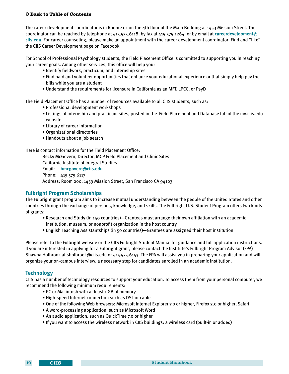<span id="page-14-0"></span>The career development coordinator is in Room 401 on the 4th floor of the Main Building at 1453 Mission Street. The coordinator can be reached by telephone at 415.575.6118, by fax at 415.575.1264, or by email at **[careerdevelopment@](mailto:careerdevelopment%40ciis.edu?subject=) [ciis.edu](mailto:careerdevelopment%40ciis.edu?subject=)**. For career counseling, please make an appointment with the career development coordinator. Find and "like" the CIIS Career Development page on Facebook

For School of Professional Psychology students, the Field Placement Office is committed to supporting you in reaching your career goals. Among other services, this office will help you:

- Identify fieldwork, practicum, and internship sites
- Find paid and volunteer opportunities that enhance your educational experience or that simply help pay the bills while you are a student
- Understand the requirements for licensure in California as an MFT, LPCC, or PsyD

The Field Placement Office has a number of resources available to all CIIS students, such as:

- Professional development workshops
- Listings of internship and practicum sites, posted in the Field Placement and Database tab of the my.ciis.edu website
- Library of career information
- Organizational directories
- Handouts about a job search

#### Here is contact information for the Field Placement Office:

Becky McGovern, Director, MCP Field Placement and Clinic Sites California Institute of Integral Studies Email: **[bmcgovern@ciis.edu](mailto:bmcgovern%40ciis.edu?subject=)** Phone: 415.575.6117 Address: Room 200, 1453 Mission Street, San Francisco CA 94103

#### **Fulbright Program Scholarships**

The Fulbright grant program aims to increase mutual understanding between the people of the United States and other countries through the exchange of persons, knowledge, and skills. The Fulbright U.S. Student Program offers two kinds of grants:

- Research and Study (in 140 countries)—Grantees must arrange their own affiliation with an academic institution, museum, or nonprofit organization in the host country
- English Teaching Assistantships (in 50 countries)—Grantees are assigned their host institution

Please refer to the Fulbright website or the CIIS Fulbright Student Manual for guidance and full application instructions. If you are interested in applying for a Fulbright grant, please contact the Institute's Fulbright Program Advisor (FPA) Shawna Holbrook at sholbrook@ciis.edu or 415.575.6153. The FPA will assist you in preparing your application and will organize your on-campus interview, a necessary step for candidates enrolled in an academic institution.

#### **Technology**

CIIS has a number of technology resources to support your education. To access them from your personal computer, we recommend the following minimum requirements:

- PC or Macintosh with at least 1 GB of memory
- High-speed Internet connection such as DSL or cable
- One of the following Web browsers: Microsoft Internet Explorer 7.0 or higher, Firefox 2.0 or higher, Safari
- A word-processing application, such as Microsoft Word
- An audio application, such as QuickTIme 7.0 or higher
- If you want to access the wireless network in CIIS buildings: a wireless card (built-in or added)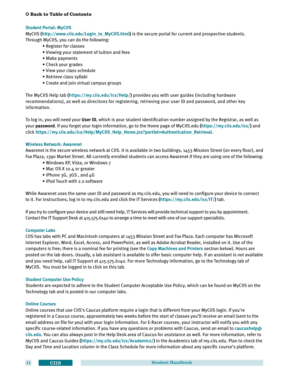#### <span id="page-15-0"></span>**Student Portal: MyCIIS**

MyCIIS **([http://www.ciis.edu/Login\\_to\\_MyCIIS.html\)](http://ciis.edu/Login_to_MyCIIS.html)** is the secure portal for current and prospective students. Through MyCIIS, you can do the following:

- Register for classes
- Viewing your statement of tuition and fees
- Make payments
- Check your grades
- View your class schedule
- Retrieve class syllabi
- Create and join virtual campus groups

The MyCIIS Help tab **[\(https://my.ciis.edu/ics/Help/](https://my.ciis.edu/ics/Help/))** provides you with user guides (including hardware recommendations), as well as directions for registering, retrieving your user ID and password, and other key information.

To log in, you will need your **User ID**, which is your student identification number assigned by the Registrar, as well as your **password**. If you forget your login information, go to the Home page of MyCIIS.edu **(<https://my.ciis.edu/ics/>)** and click **[https://my.ciis.edu/ics/Help/MyCIIS\\_Help\\_Home.jnz?portlet=Authentication\\_Retrieval](https://my.ciis.edu/ics/Help/MyCIIS_Help_Home.jnz?portlet=Authentication_Retrieval)**.

#### **Wireless Network: Awarenet**

Awarenet is the secure wireless network at CIIS. It is available in two buildings, 1453 Mission Street (on every floor), and Fox Plaza, 1390 Market Street. All currently enrolled students can access Awarenet if they are using one of the following:

- Windows XP, Vista, or Windows 7
- Mac OS X 10.4 or greater
- iPhone 3G, 3GS, and 4G
- iPod Touch with 2.x software

While Awarenet uses the same user ID and password as my.ciis.edu, you will need to configure your device to connect to it. For instructions, log in to my.ciis.edu and click the IT Services **[\(https://my.ciis.edu/ics/IT/](https://my.ciis.edu/ics/IT/))** tab.

If you try to configure your device and still need help, IT Services will provide technical support to you by appointment. Contact the IT Support Desk at 415.575.6140 to arrange a time to meet with one of our support specialists.

#### **Computer Labs**

CIIS has labs with PC and Macintosh computers at 1453 Mission Street and Fox Plaza. Each computer has Microsoft Internet Explorer, Word, Excel, Access, and PowerPoint, as well as Adobe Acrobat Reader, installed on it. Use of the computers is free; there is a nominal fee for printing (see the **[Copy Machines and Printers](#page-17-0)** section below). Hours are posted on the lab doors. Usually, a lab assistant is available to offer basic computer help. If an assistant is not available and you need help, call IT Support at 415.575.6140. For more Technology information, go to the Technology tab of MyCIIS. You must be logged in to click on this tab.

#### **Student Computer Use Policy**

Students are expected to adhere to the Student Computer Acceptable Use Policy, which can be found on MyCIIS on the Technology tab and is posted in our computer labs.

#### **Online Courses**

Online courses that use CIIS's Caucus platform require a login that is different from your MyCIIS login. If you're registered in a Caucus course, approximately two weeks before the start of classes you'll receive an email (sent to the email address on file for you) with your login information. For E-Racer courses, your instructor will notify you with any specific course-related information. If you have any questions or problems with Caucus, send an email to **[caucushelp@](caucushelp@ciis.edu) [ciis.edu](caucushelp@ciis.edu)**. You can also always post in the Help Desk area of Caucus for assistance as well. For more information, refer to MyCIIS and Caucus Guides **(<https://my.ciis.edu/ics/Academics/>)** in the Academics tab of my.ciis.edu. Plan to check the Day and Time and Location column in the Class Schedule for more information about any specific course's platform.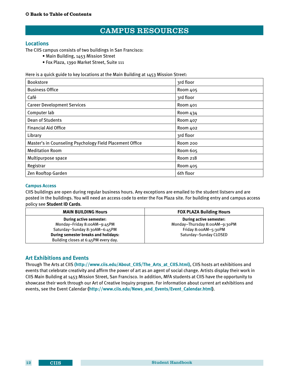## CAMPUS RESOURCES

#### <span id="page-16-0"></span>**Locations**

The CIIS campus consists of two buildings in San Francisco:

- Main Building, 1453 Mission Street
- Fox Plaza, 1390 Market Street, Suite 111

Here is a quick guide to key locations at the Main Building at 1453 Mission Street:

| <b>Bookstore</b>                                         | 3rd floor |
|----------------------------------------------------------|-----------|
| <b>Business Office</b>                                   | Room 405  |
| Café                                                     | 3rd floor |
| <b>Career Development Services</b>                       | Room 401  |
| Computer lab                                             | Room 434  |
| Dean of Students                                         | Room 407  |
| <b>Financial Aid Office</b>                              | Room 402  |
| Library                                                  | 3rd floor |
| Master's in Counseling Psychology Field Placement Office | Room 200  |
| <b>Meditation Room</b>                                   | Room 605  |
| Multipurpose space                                       | Room 218  |
| Registrar                                                | Room 405  |
| Zen Rooftop Garden                                       | 6th floor |

#### **Campus Access**

CIIS buildings are open during regular business hours. Any exceptions are emailed to the student listserv and are posted in the buildings. You will need an access code to enter the Fox Plaza site. For building entry and campus access policy see **Student ID Cards**.

| <b>MAIN BUILDING Hours</b>           | <b>FOX PLAZA Building Hours</b> |
|--------------------------------------|---------------------------------|
| During active semester:              | During active semester:         |
| Monday-Friday 8:00AM-9:45PM          | Monday-Thursday 8:00AM-9:30PM   |
| Saturday-Sunday 8:30AM-6:45PM        | Friday 8:00AM-5:30PM            |
| During semester breaks and holidays: | Saturday-Sunday CLOSED          |
| Building closes at 6:45PM every day. |                                 |

#### **Art Exhibitions and Events**

Through The Arts at CIIS **[\(http://www.ciis.edu/About\\_CIIS/The\\_Arts\\_at\\_CIIS.html\)]((http://www.ciis.edu/About_CIIS/The_Arts_at_CIIS.html))**, CIIS hosts art exhibitions and events that celebrate creativity and affirm the power of art as an agent of social change. Artists display their work in CIIS Main Building at 1453 Mission Street, San Francisco. In addition, MFA students at CIIS have the opportunity to showcase their work through our Art of Creative Inquiry program. For information about current art exhibitions and events, see the Event Calendar **([http://www.ciis.edu/News\\_and\\_Events/Event\\_Calendar.html](http://www.ciis.edu/News_and_Events/Event_Calendar.html))**.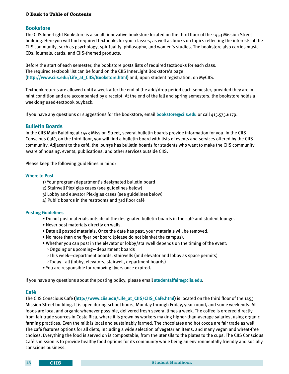#### <span id="page-17-0"></span>**Bookstore**

The CIIS InnerLight Bookstore is a small, innovative bookstore located on the third floor of the 1453 Mission Street building. Here you will find required textbooks for your classes, as well as books on topics reflecting the interests of the CIIS community, such as psychology, spirituality, philosophy, and women's studies. The bookstore also carries music CDs, journals, cards, and CIIS-themed products.

Before the start of each semester, the bookstore posts lists of required textbooks for each class. The required textbook list can be found on the CIIS InnerLight Bookstore's page **[\(http://www.ciis.edu/Life\\_at\\_CIIS/Bookstore.html](http://www.ciis.edu/Life_at_CIIS/Bookstore.html))** and, upon student registration, on MyCIIS.

Textbook returns are allowed until a week after the end of the add/drop period each semester, provided they are in mint condition and are accompanied by a receipt. At the end of the fall and spring semesters, the bookstore holds a weeklong used-textbook buyback.

If you have any questions or suggestions for the bookstore, email **[bookstore@ciis.edu]( bookstore@ciis.edu)** or call 415.575.6179.

#### **Bulletin Boards**

In the CIIS Main Building at 1453 Mission Street, several bulletin boards provide information for you. In the CIIS Conscious Café, on the third floor, you will find a bulletin board with lists of events and services offered by the CIIS community. Adjacent to the café, the lounge has bulletin boards for students who want to make the CIIS community aware of housing, events, publications, and other services outside CIIS.

Please keep the following guidelines in mind:

#### **Where to Post**

- 1) Your program/department's designated bulletin board
- 2) Stairwell Plexiglas cases (see guidelines below)
- 3) Lobby and elevator Plexiglas cases (see guidelines below)
- 4) Public boards in the restrooms and 3rd floor café

#### **Posting Guidelines**

- Do not post materials outside of the designated bulletin boards in the café and student lounge.
- Never post materials directly on walls.
- Date all posted materials. Once the date has past, your materials will be removed.
- No more than one flyer per board (please do not blanket the campus).
- Whether you can post in the elevator or lobby/stairwell depends on the timing of the event: ° Ongoing or upcoming—department boards
	- ° This week—department boards, stairwells (and elevator and lobby as space permits)
	- ° Today—all (lobby, elevators, stairwell, department boards)
- You are responsible for removing flyers once expired.

If you have any questions about the posting policy, please email **<studentaffairs@ciis.edu>**.

#### **Café**

The CIIS Conscious Café **([http://www.ciis.edu/Life\\_at\\_CIIS/CIIS\\_Cafe.html](http://www.ciis.edu/Life_at_CIIS/CIIS_Cafe.html))** is located on the third floor of the 1453 Mission Street building. It is open during school hours, Monday through Friday, year-round, and some weekends. All foods are local and organic whenever possible, delivered fresh several times a week. The coffee is ordered directly from fair trade sources in Costa Rica, where it is grown by workers making higher-than-average salaries, using organic farming practices. Even the milk is local and sustainably farmed. The chocolates and hot cocoa are fair trade as well. The café features options for all diets, including a wide selection of vegetarian items, and many vegan and wheat-free choices. Everything the food is served on is compostable, from the utensils to the plates to the cups. The CIIS Conscious Café's mission is to provide healthy food options for its community while being an environmentally friendly and socially conscious business.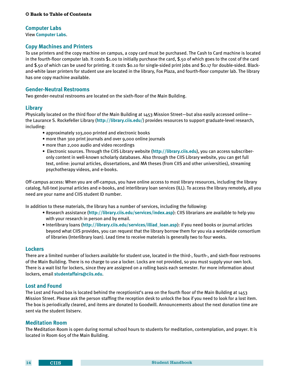#### <span id="page-18-0"></span>**Computer Labs**

View **[Computer Labs](#page-15-0)**.

#### **Copy Machines and Printers**

To use printers and the copy machine on campus, a copy card must be purchased. The Cash to Card machine is located in the fourth-floor computer lab. It costs \$1.0o to initially purchase the card, \$.50 of which goes to the cost of the card and \$.50 of which can be used for printing. It costs \$0.10 for single-sided print jobs and \$0.17 for double-sided. Blackand-white laser printers for student use are located in the library, Fox Plaza, and fourth-floor computer lab. The library has one copy machine available.

#### **Gender-Neutral Restrooms**

Two gender-neutral restrooms are located on the sixth-floor of the Main Building.

#### **Library**

Physically located on the third floor of the Main Building at 1453 Mission Street—but also easily accessed online the Laurance S. Rockefeller Library (**<http://library.ciis.edu/>**) provides resources to support graduate-level research, including:

- approximately 103,000 printed and electronic books
- more than 300 print journals and over 9,000 online journals
- more than 2,000 audio and video recordings
- Electronic sources. Through the CIIS Library website (**<http://library.ciis.edu>**), you can access subscriberonly content in well-known scholarly databases. Also through the CIIS Library website, you can get full text, online: journal articles, dissertations, and MA theses (from CIIS and other universities), streaming psychotherapy videos, and e-books.

Off-campus access: When you are off-campus, you have online access to most library resources, including the library catalog, full-text journal articles and e-books, and interlibrary loan services (ILL). To access the library remotely, all you need are your name and CIIS student ID number.

In addition to these materials, the library has a number of services, including the following:

- Research assistance (**<http://library.ciis.edu/services/index.asp>**): CIIS librarians are available to help you with your research in person and by email.
- Interlibrary loans (**[http://library.ciis.edu/services/illiad\\_loan.asp](http://library.ciis.edu/services/illiad_loan.asp)**): if you need books or journal articles beyond what CIIS provides, you can request that the library borrow them for you via a worldwide consortium of libraries (Interlibrary loan). Lead time to receive materials is generally two to four weeks.

#### **Lockers**

There are a limited number of lockers available for student use, located in the third-, fourth-, and sixth-floor restrooms of the Main Building. There is no charge to use a locker. Locks are not provided, so you must supply your own lock. There is a wait list for lockers, since they are assigned on a rolling basis each semester. For more information about lockers, email **[studentaffairs@ciis.edu](mailto:studentaffairs%40ciis.edu?subject=)**.

#### **Lost and Found**

The Lost and Found box is located behind the receptionist's area on the fourth floor of the Main Building at 1453 Mission Street. Please ask the person staffing the reception desk to unlock the box if you need to look for a lost item. The box is periodically cleared, and items are donated to Goodwill. Announcements about the next donation time are sent via the student listserv.

#### **Meditation Room**

The Meditation Room is open during normal school hours to students for meditation, contemplation, and prayer. It is located in Room 605 of the Main Building.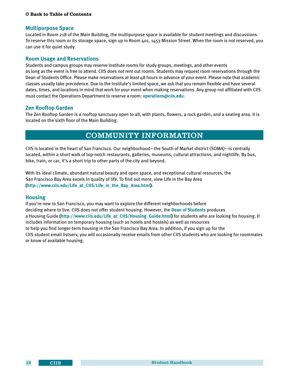#### <span id="page-19-0"></span>**Multipurpose Space**

Located in Room 218 of the Main Building, the multipurpose space is available for student meetings and discussions. To reserve this room or its storage space, sign up in Room 401, 1453 Mission Street. When the room is not reserved, you can use it for quiet study.

#### **Room Usage and Reservations**

Students and campus groups may reserve Institute rooms for study groups, meetings, and other events as long as the event is free to attend. CIIS does not rent out rooms. Students may request room reservations through the Dean of Students Office. Please make reservations at least 48 hours in advance of your event. Please note that academic classes usually take precedence. Due to the Institute's limited space, we ask that you remain flexible and have several dates, times, and locations in mind that work for your event when making reservations. Any group not affiliated with CIIS must contact the Operations Department to reserve a room: **<operations@ciis.edu>**.

#### **Zen Rooftop Garden**

The Zen Rooftop Garden is a rooftop sanctuary open to all, with plants, flowers, a rock garden, and a seating area. It is located on the sixth floor of the Main Building.

## COMMUNITY INFORMATION

CIIS is located in the heart of San Francisco. Our neighborhood—the South of Market district (SOMA)—is centrally located, within a short walk of top-notch restaurants, galleries, museums, cultural attractions, and nightlife. By bus, bike, train, or car, it's a short trip to other parts of the city and beyond.

With its ideal climate, abundant natural beauty and open space, and exceptional cultural resources, the San Francisco Bay Area excels in quality of life. To find out more, view Life in the Bay Area **[\(http://www.ciis.edu/Life\\_at\\_CIIS/Life\\_in\\_the\\_Bay\\_Area.html\)](http://www.ciis.edu/Life_at_CIIS/Life_in_the_Bay_Area.html)**.

#### **Housing**

If you're new to San Francisco, you may want to explore the different neighborhoods before deciding where to live. CIIS does not offer student housing. However, the **[Dean of Students](#page-8-0)** produces a Housing Guide **[\(http://www.ciis.edu/Life\\_at\\_CIIS/Housing\\_Guide.html](http://www.ciis.edu/Life_at_CIIS/Housing_Guide.html))** for students who are looking for housing. It includes information on temporary housing (such as hotels and hostels) as well as resources to help you find longer-term housing in the San Francisco Bay Area. In addition, if you sign up for the CIIS student email listserv, you will occasionally receive emails from other CIIS students who are looking for roommates or know of available housing.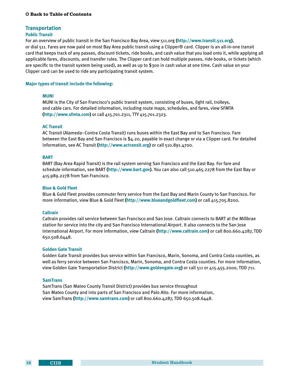#### <span id="page-20-0"></span>**Transportation**

#### **Public Transit**

For an overview of public transit in the San Francisco Bay Area, view 511.org **(<http://www.transit.511.org>)**, or dial 511. Fares are now paid on most Bay Area public transit using a Clipper® card. Clipper is an all-in-one transit card that keeps track of any passes, discount tickets, ride books, and cash value that you load onto it, while applying all applicable fares, discounts, and transfer rules. The Clipper card can hold multiple passes, ride books, or tickets (which are specific to the transit system being used), as well as up to \$300 in cash value at one time. Cash value on your Clipper card can be used to ride any participating transit system.

#### **Major types of transit include the following:**

#### **MUNI**

 MUNI is the City of San Francisco's public transit system, consisting of buses, light rail, trolleys, and cable cars. For detailed information, including route maps, schedules, and fares, view SFMTA **[\(http://www.sfmta.com](http://www.sfmta.com))** or call 415.701.2311, TTY 415.701.2323.

#### **AC Transit**

 AC Transit (Alameda–Contra Costa Transit) runs buses within the East Bay and to San Francisco. Fare between the East Bay and San Francisco is \$4.20, payable in exact change or via a Clipper card. For detailed information, see AC Transit **([http://www.actransit.org\)](http://www.actransit.org)** or call 510.891.4700.

#### **BART**

 BART (Bay Area Rapid Transit) is the rail system serving San Francisco and the East Bay. For fare and schedule information, see BART **[\(http://www.bart.gov\)](http://www.bart.gov)**. You can also call 510.465.2278 from the East Bay or 415.989.2278 from San Francisco.

#### **Blue & Gold Fleet**

 Blue & Gold Fleet provides commuter ferry service from the East Bay and Marin County to San Francisco. For more information, view Blue & Gold Fleet **(<http://www.blueandgoldfleet.com>)** or call 415.705.8200.

#### **Caltrain**

 Caltrain provides rail service between San Francisco and San Jose. Caltrain connects to BART at the Millbrae station for service into the city and San Francisco International Airport. It also connects to the San Jose International Airport. For more information, view Caltrain **[\(http://www.caltrain.com](http://www.caltrain.com))** or call 800.660.4287, TDD 650.508.6448.

#### **Golden Gate Transit**

 Golden Gate Transit provides bus service within San Francisco, Marin, Sonoma, and Contra Costa counties, as well as ferry service between San Francisco, Marin, Sonoma, and Contra Costa counties. For more information, view Golden Gate Transportation District **([http://www.goldengate.org\)](http://www.goldengate.org)** or call 511 or 415.455.2000, TDD 711.

#### **SamTrans**

 SamTrans (San Mateo County Transit District) provides bus service throughout San Mateo County and into parts of San Francisco and Palo Alto. For more information, view SamTrans **[\(http://www.samtrans.com](http://www.samtrans.com))** or call 800.660.4287, TDD 650.508.6448.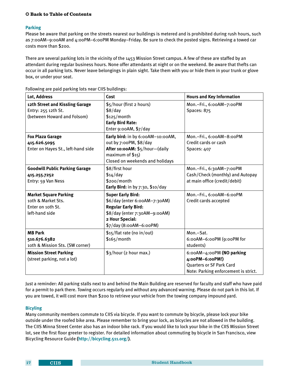#### <span id="page-21-0"></span>**Parking**

Please be aware that parking on the streets nearest our buildings is metered and is prohibited during rush hours, such as 7:00AM–9:00AM and 4:00PM–6:00PM Monday–Friday. Be sure to check the posted signs. Retrieving a towed car costs more than \$200.

There are several parking lots in the vicinity of the 1453 Mission Street campus. A few of these are staffed by an attendant during regular business hours. None offer attendants at night or on the weekend. Be aware that thefts can occur in all parking lots. Never leave belongings in plain sight. Take them with you or hide them in your trunk or glove box, or under your seat.

| Lot, Address                                                                              | Cost                                                                                                                                                                   | <b>Hours and Key Information</b>                                                                                        |
|-------------------------------------------------------------------------------------------|------------------------------------------------------------------------------------------------------------------------------------------------------------------------|-------------------------------------------------------------------------------------------------------------------------|
| 12th Street and Kissling Garage<br>Entry: 255 12th St.<br>(between Howard and Folsom)     | \$5/hour (first 2 hours)<br>\$8/day<br>\$125/month<br><b>Early Bird Rate:</b><br>Enter 9:00AM, \$7/day                                                                 | Mon.-Fri., 6:00AM-7:00PM<br>Spaces: 875                                                                                 |
| <b>Fox Plaza Garage</b><br>415.626.5095<br>Enter on Hayes St., left-hand side             | Early bird: in by 6:00AM-10:00AM,<br>out by 7:00PM, \$8/day<br>After 10:00AM: \$5/hour-(daily<br>maximum of $$15)$<br>Closed on weekends and holidays                  | Mon.-Fri., 6:00AM-8:00PM<br>Credit cards or cash<br>Spaces: 407                                                         |
| <b>Goodwill Public Parking Garage</b><br>415.255.7252<br>Entry: 59 Van Ness               | \$8/first hour<br>$$14$ /day<br>\$200/month<br>Early Bird: in by $7:30$ , $$10/day$                                                                                    | Mon.-Fri., 6:30AM-7:00PM<br>Cash/Check (monthly) and Autopay<br>at main office (credit/debit)                           |
| <b>Market Square Parking</b><br>10th & Market Sts.<br>Enter on 10th St.<br>left-hand side | <b>Super Early Bird:</b><br>\$6/day (enter 6:00AM-7:30AM)<br><b>Regular Early Bird:</b><br>\$8/day (enter 7:30AM-9:00AM)<br>2 Hour Special:<br>\$7/day (8:00AM-6:00PM) | Mon.-Fri., 6:00AM-6:00PM<br>Credit cards accepted                                                                       |
| <b>MB Park</b><br>510.676.6382<br>10th & Mission Sts. (SW corner)                         | \$15/flat rate (no in/out)<br>$$165/m$ onth                                                                                                                            | Mon.-Sat.<br>6:00AM-6:00PM (9:00PM for<br>students)                                                                     |
| <b>Mission Street Parking</b><br>(street parking, not a lot)                              | \$3/hour (2 hour max.)                                                                                                                                                 | 6:00AM-4:00PM (NO parking<br>4:00PM-6:00PM!)<br><b>Quarters or SF Park Card</b><br>Note: Parking enforcement is strict. |

Following are paid parking lots near CIIS buildings:

Just a reminder: All parking stalls next to and behind the Main Building are reserved for faculty and staff who have paid for a permit to park there. Towing occurs regularly and without any advanced warning. Please do not park in this lot. If you are towed, it will cost more than \$200 to retrieve your vehicle from the towing company impound yard.

#### **Bicyling**

Many community members commute to CIIS via bicycle. If you want to commute by bicycle, please lock your bike outside under the roofed bike area. Please remember to bring your lock, as bicycles are not allowed in the building. The CIIS Minna Street Center also has an indoor bike rack. If you would like to lock your bike in the CIIS Mission Street lot, see the first floor greeter to register. For detailed information about commuting by bicycle in San Francisco, view Bicycling Resource Guide **([http://bicycling.511.org/\)](http://bicycling.511.org/)**.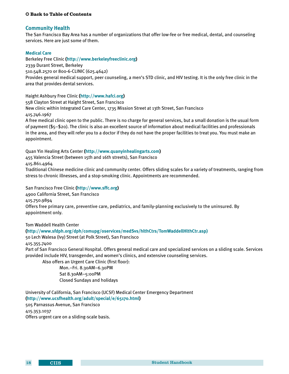#### <span id="page-22-0"></span>**Community Health**

The San Francisco Bay Area has a number of organizations that offer low-fee or free medical, dental, and counseling services. Here are just some of them.

#### **Medical Care**

Berkeley Free Clinic **([http://www.berkeleyfreeclinic.org\)](http://www.berkeleyfreeclinic.org)** 2339 Durant Street, Berkeley 510.548.2570 or 800-6-CLINIC (625.4642) Provides general medical support, peer counseling, a men's STD clinic, and HIV testing. It is the only free clinic in the area that provides dental services.

Haight Ashbury Free Clinic **[\(http://www.hafci.org](http://www.hafci.org))**

558 Clayton Street at Haight Street, San Francisco New clinic within Integrated Care Center, 1735 Mission Street at 13th Street, San Francisco 415.746.1967 A free medical clinic open to the public. There is no charge for general services, but a small donation is the usual form

of payment (\$5–\$20). The clinic is also an excellent source of information about medical facilities and professionals in the area, and they will refer you to a doctor if they do not have the proper facilities to treat you. You must make an appointment.

Quan Yin Healing Arts Center **[\(http://www.quanyinhealingarts.com\)](http://www.quanyinhealingarts.com)**

455 Valencia Street (between 15th and 16th streets), San Francisco

415.861.4964

Traditional Chinese medicine clinic and community center. Offers sliding scales for a variety of treatments, ranging from stress to chronic illnesses, and a stop-smoking clinic. Appointments are recommended.

San Francisco Free Clinic **[\(http://www.sffc.org\)](http://www.sffc.org)** 4900 California Street, San Francisco 415.750.9894 Offers free primary care, preventive care, pediatrics, and family-planning exclusively to the uninsured. By appointment only.

Tom Waddell Health Center

#### **[\(http://www.sfdph.org/dph/comupg/oservices/medSvs/hlthCtrs/TomWaddellHlthCtr.asp\)](http://www.sfdph.org/dph/comupg/oservices/medSvs/hlthCtrs/TomWaddellHlthCtr.asp )**

50 Lech Walesa (Ivy) Street (at Polk Street), San Francisco

#### 415.355.7400

Part of San Francisco General Hospital. Offers general medical care and specialized services on a sliding scale. Services provided include HIV, transgender, and women's clinics, and extensive counseling services.

Also offers an Urgent Care Clinic (first floor):

 Mon.–Fri. 8.30AM–6.30PM Sat 8.30AM–5:00PM Closed Sundays and holidays

University of California, San Francisco (UCSF) Medical Center Emergency Department **[\(http://www.ucsfhealth.org/adult/special/e/65170.html\)](http://www.ucsfhealth.org/adult/special/e/65170.html)** 505 Parnassus Avenue, San Francisco 415.353.1037 Offers urgent care on a sliding-scale basis.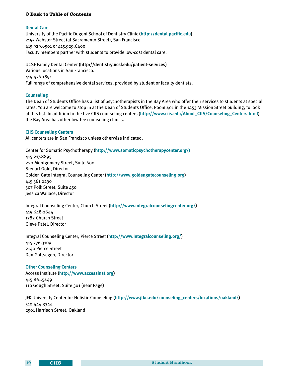#### <span id="page-23-0"></span>**Dental Care**

University of the Pacific Dugoni School of Dentistry Clinic **[\(http://dental.pacific.edu](http://dental.pacific.edu))** 2155 Webster Street (at Sacramento Street), San Francisco 415.929.6501 or 415.929.6400 Faculty members partner with students to provide low-cost dental care.

UCSF Family Dental Center **(http://dentistry.ucsf.edu/patient-services)** Various locations in San Francisco. 415.476.1891 Full range of comprehensive dental services, provided by student or faculty dentists.

#### **Counseling**

The Dean of Students Office has a list of psychotherapists in the Bay Area who offer their services to students at special rates. You are welcome to stop in at the Dean of Students Office, Room 401 in the 1453 Mission Street building, to look at this list. In addition to the five CIIS counseling centers **([http://www.ciis.edu/About\\_CIIS/Counseling\\_Centers.html\)](http://www.ciis.edu/About_CIIS/Counseling_Centers.html)**, the Bay Area has other low-fee counseling clinics.

#### **CIIS Counseling Centers**

All centers are in San Francisco unless otherwise indicated.

Center for Somatic Psychotherapy **([http://www.somaticpsychotherapycenter.org/\)](http://www.somaticpsychotherapycenter.org/ )**  415.217.8895 220 Montgomery Street, Suite 600 Steuart Gold, Director Golden Gate Integral Counseling Center **([http://www.goldengatecounseling.org\)](http://www.goldengatecounseling.org)** 415.561.0230 507 Polk Street, Suite 450 Jessica Wallace, Director

Integral Counseling Center, Church Street **(<http://www.integralcounselingcenter.org/>)** 415.648-2644 1782 Church Street Gieve Patel, Director

Integral Counseling Center, Pierce Street **([http://www.integralcounseling.org/\)](http://www.integralcounseling.org/)** 415.776.3109 2140 Pierce Street Dan Gottsegen, Director

#### **Other Counseling Centers**

Access Institute **[\(http://www.accessinst.org](http://www.accessinst.org))** 415.861.5449 110 Gough Street, Suite 301 (near Page)

JFK University Center for Holistic Counseling **([http://www.jfku.edu/counseling\\_centers/locations/oakland/\)](http://www.jfku.edu/counseling_centers/locations/oakland/)** 510.444.3344 2501 Harrison Street, Oakland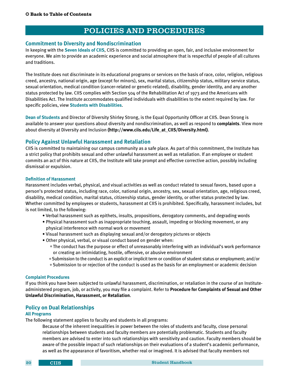## POLICIES AND PROCEDURES

#### <span id="page-24-0"></span>**Commitment to Diversity and Nondiscrimination**

In keeping with the **[Seven Ideals of CIIS](#page-6-0)**, CIIS is committed to providing an open, fair, and inclusive environment for everyone. We aim to provide an academic experience and social atmosphere that is respectful of people of all cultures and traditions.

The Institute does not discriminate in its educational programs or services on the basis of race, color, religion, religious creed, ancestry, national origin, age (except for minors), sex, marital status, citizenship status, military service status, sexual orientation, medical condition (cancer-related or genetic-related), disability, gender identity, and any another status protected by law. CIIS complies with Section 504 of the Rehabilitation Act of 1973 and the Americans with Disabilities Act. The Institute accommodates qualified individuals with disabilities to the extent required by law. For specific policies, view **[Students with Disabilities](#page-10-0)**.

**[Dean of Students](#page-8-0)** and Director of Diversity Shirley Strong, is the Equal Opportunity Officer at CIIS. Dean Strong is available to answer your questions about diversity and nondiscrimination, as well as respond to **complaints**. View more about diversity at Diversity and Inclusion **(http://www.ciis.edu/Life\_at\_CIIS/Diversity.html)**.

#### **Policy Against Unlawful Harassment and Retaliation**

CIIS is committed to maintaining our campus community as a safe place. As part of this commitment, the Institute has a strict policy that prohibits sexual and other unlawful harassment as well as retaliation. If an employee or student commits an act of this nature at CIIS, the Institute will take prompt and effective corrective action, possibly including dismissal or expulsion.

#### **Definition of Harassment**

Harassment includes verbal, physical, and visual activities as well as conduct related to sexual favors, based upon a person's protected status, including race, color, national origin, ancestry, sex, sexual orientation, age, religious creed, disability, medical condition, marital status, citizenship status, gender identity, or other status protected by law. Whether committed by employees or students, harassment at CIIS is prohibited. Specifically, harassment includes, but is not limited, to the following:

- Verbal harassment such as epithets, insults, propositions, derogatory comments, and degrading words
- Physical harassment such as inappropriate touching, assault, impeding or blocking movement, or any physical interference with normal work or movement
- Visual harassment such as displaying sexual and/or derogatory pictures or objects
- Other physical, verbal, or visual conduct based on gender when:
	- ° The conduct has the purpose or effect of unreasonably interfering with an individual's work performance or creating an intimidating, hostile, offensive, or abusive environment
	- ° Submission to the conduct is an explicit or implicit term or condition of student status or employment; and/or
	- ° Submission to or rejection of the conduct is used as the basis for an employment or academic decision

#### **Complaint Procedures**

If you think you have been subjected to unlawful harassment, discrimination, or retaliation in the course of an Instituteadministered program, job, or activity, you may file a complaint. Refer to **[Procedure for Complaints of Sexual and Other](#page-29-0)  [Unlawful Discrimination, Harassment, or Retaliation](#page-29-0)**.

#### **Policy on Dual Relationships**

#### **All Programs**

The following statement applies to faculty and students in all programs:

 Because of the inherent inequalities in power between the roles of students and faculty, close personal relationships between students and faculty members are potentially problematic. Students and faculty members are advised to enter into such relationships with sensitivity and caution. Faculty members should be aware of the possible impact of such relationships on their evaluations of a student's academic performance, as well as the appearance of favoritism, whether real or imagined. It is advised that faculty members not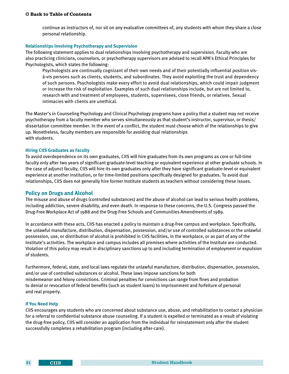<span id="page-25-0"></span>continue as instructors of, nor sit on any evaluative committees of, any students with whom they share a close personal relationship.

#### **Relationships Involving Psychotherapy and Supervision**

The following statement applies to dual relationships involving psychotherapy and supervision. Faculty who are also practicing clinicians, counselors, or psychotherapy supervisors are advised to recall APA's Ethical Principles for Psychologists, which states the following:

 Psychologists are continually cognizant of their own needs and of their potentially influential position visà-vis persons such as clients, students, and subordinates. They avoid exploiting the trust and dependency of such persons. Psychologists make every effort to avoid dual relationships, which could impair judgment or increase the risk of exploitation. Examples of such dual relationships include, but are not limited to, research with and treatment of employees, students, supervisees, close friends, or relatives. Sexual intimacies with clients are unethical.

The Master's in Counseling Psychology and Clinical Psychology programs have a policy that a student may not receive psychotherapy from a faculty member who serves simultaneously as that student's instructor, supervisor, or thesis/ dissertation committee member. In the event of a conflict, the student must choose which of the relationships to give up. Nonetheless, faculty members are responsible for avoiding dual relationships with students.

#### **Hiring CIIS Graduates as Faculty**

To avoid overdependence on its own graduates, CIIS will hire graduates from its own programs as core or full-time faculty only after two years of significant graduate-level teaching or equivalent experience at other graduate schools. In the case of adjunct faculty, CIIS will hire its own graduates only after they have significant graduate-level or equivalent experience at another institution, or for time-limited positions specifically designed for graduates. To avoid dual relationships, CIIS does not generally hire former Institute students as teachers without considering these issues.

#### **Policy on Drugs and Alcohol**

The misuse and abuse of drugs (controlled substances) and the abuse of alcohol can lead to serious health problems, including addiction, severe disability, and even death. In response to these concerns, the U.S. Congress passed the Drug-Free Workplace Act of 1988 and the Drug-Free Schools and Communities Amendments of 1989.

In accordance with these acts, CIIS has enacted a policy to maintain a drug-free campus and workplace. Specifically, the unlawful manufacture, distribution, dispensation, possession, and/or use of controlled substances or the unlawful possession, use, or distribution of alcohol is prohibited in CIIS facilities, in the workplace, or as part of any of the Institute's activities. The workplace and campus includes all premises where activities of the Institute are conducted. Violation of this policy may result in disciplinary sanctions up to and including termination of employment or expulsion of students.

Furthermore, federal, state, and local laws regulate the unlawful manufacture, distribution, dispensation, possession, and/or use of controlled substances or alcohol. These laws impose sanctions for both misdemeanor and felony convictions. Criminal penalties for convictions can range from fines and probation to denial or revocation of federal benefits (such as student loans) to imprisonment and forfeiture of personal and real property.

#### **If You Need Help**

CIIS encourages any students who are concerned about substance use, abuse, and rehabilitation to contact a physician for a referral to confidential substance abuse counseling. If a student is expelled or terminated as a result of violating the drug-free policy, CIIS will consider an application from the individual for reinstatement only after the student successfully completes a rehabilitation program (including after-care).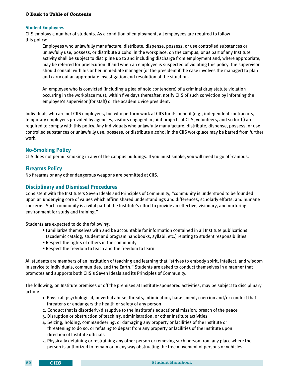#### <span id="page-26-0"></span>**Student Employees**

CIIS employs a number of students. As a condition of employment, all employees are required to follow this policy:

 Employees who unlawfully manufacture, distribute, dispense, possess, or use controlled substances or unlawfully use, possess, or distribute alcohol in the workplace, on the campus, or as part of any Institute activity shall be subject to discipline up to and including discharge from employment and, where appropriate, may be referred for prosecution. If and when an employee is suspected of violating this policy, the supervisor should consult with his or her immediate manager (or the president if the case involves the manager) to plan and carry out an appropriate investigation and resolution of the situation.

 An employee who is convicted (including a plea of nolo contendere) of a criminal drug statute violation occurring in the workplace must, within five days thereafter, notify CIIS of such conviction by informing the employee's supervisor (for staff) or the academic vice president.

Individuals who are not CIIS employees, but who perform work at CIIS for its benefit (e.g., independent contractors, temporary employees provided by agencies, visitors engaged in joint projects at CIIS, volunteers, and so forth) are required to comply with this policy. Any individuals who unlawfully manufacture, distribute, dispense, possess, or use controlled substances or unlawfully use, possess, or distribute alcohol in the CIIS workplace may be barred from further work.

#### **No-Smoking Policy**

CIIS does not permit smoking in any of the campus buildings. If you must smoke, you will need to go off-campus.

#### **Firearms Policy**

No firearms or any other dangerous weapons are permitted at CIIS.

#### **Disciplinary and Dismissal Procedures**

Consistent with the Institute's Seven Ideals and Principles of Community, "community is understood to be founded upon an underlying core of values which affirm shared understandings and differences, scholarly efforts, and humane concerns. Such community is a vital part of the Institute's effort to provide an effective, visionary, and nurturing environment for study and training."

Students are expected to do the following:

- Familiarize themselves with and be accountable for information contained in all Institute publications (academic catalog, student and program handbooks, syllabi, etc.) relating to student responsibilities
- Respect the rights of others in the community
- Respect the freedom to teach and the freedom to learn

All students are members of an institution of teaching and learning that "strives to embody spirit, intellect, and wisdom in service to individuals, communities, and the Earth." Students are asked to conduct themselves in a manner that promotes and supports both CIIS's Seven Ideals and its Principles of Community.

The following, on Institute premises or off the premises at Institute-sponsored activities, may be subject to disciplinary action:

- 1. Physical, psychological, or verbal abuse, threats, intimidation, harassment, coercion and/or conduct that threatens or endangers the health or safety of any person
- 2. Conduct that is disorderly/disruptive to the Institute's educational mission; breach of the peace
- 3. Disruption or obstruction of teaching, administration, or other Institute activities
- 4. Seizing, holding, commandeering, or damaging any property or facilities of the Institute or threatening to do so, or refusing to depart from any property or facilities of the Institute upon direction of Institute officials
- 5. Physically detaining or restraining any other person or removing such person from any place where the person is authorized to remain or in any way obstructing the free movement of persons or vehicles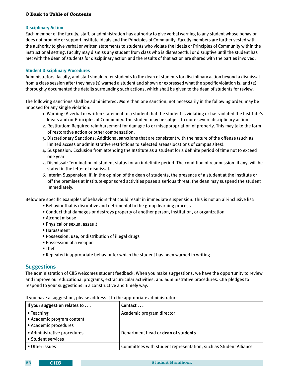#### <span id="page-27-0"></span>**Disciplinary Action**

Each member of the faculty, staff, or administration has authority to give verbal warning to any student whose behavior does not promote or support Institute Ideals and the Principles of Community. Faculty members are further vested with the authority to give verbal or written statements to students who violate the Ideals or Principles of Community within the instructional setting. Faculty may dismiss any student from class who is disrespectful or disruptive until the student has met with the dean of students for disciplinary action and the results of that action are shared with the parties involved.

#### **Student Disciplinary Procedures**

Administrators, faculty, and staff should refer students to the dean of students for disciplinary action beyond a dismissal from a class session after they have (1) warned a student and shown or expressed what the specific violation is, and (2) thoroughly documented the details surrounding such actions, which shall be given to the dean of students for review.

The following sanctions shall be administered. More than one sanction, not necessarily in the following order, may be imposed for any single violation:

- 1. Warning: A verbal or written statement to a student that the student is violating or has violated the Institute's Ideals and/or Principles of Community. The student may be subject to more severe disciplinary action.
- 2. Restitution: Required reimbursement for damage to or misappropriation of property. This may take the form of restorative action or other compensation.
- 3. Discretionary Sanctions: Additional sanctions that are consistent with the nature of the offense (such as limited access or administrative restrictions to selected areas/locations of campus sites).
- 4. Suspension: Exclusion from attending the Institute as a student for a definite period of time not to exceed one year.
- 5. Dismissal: Termination of student status for an indefinite period. The condition of readmission, if any, will be stated in the letter of dismissal.
- 6. Interim Suspension: If, in the opinion of the dean of students, the presence of a student at the Institute or off the premises at Institute-sponsored activities poses a serious threat, the dean may suspend the student immediately.

Below are specific examples of behaviors that could result in immediate suspension. This is not an all-inclusive list:

- Behavior that is disruptive and detrimental to the group learning process
- Conduct that damages or destroys property of another person, institution, or organization
- Alcohol misuse
- Physical or sexual assault
- Harassment
- Possession, use, or distribution of illegal drugs
- Possession of a weapon
- Theft
- Repeated inappropriate behavior for which the student has been warned in writing

#### **Suggestions**

The administration of CIIS welcomes student feedback. When you make suggestions, we have the opportunity to review and improve our educational programs, extracurricular activities, and administrative procedures. CIIS pledges to respond to your suggestions in a constructive and timely way.

If your suggestion relates to . . . **Fig. 7** Contact . . . • Teaching • Academic program content • Academic procedures Academic program director • Administrative procedures • Student services Department head or **dean of students** • Other issues  $\Box$  Committees with student representation, such as Student Alliance

If you have a suggestion, please address it to the appropriate administrator: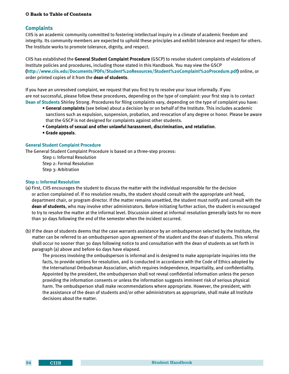#### <span id="page-28-0"></span>**Complaints**

CIIS is an academic community committed to fostering intellectual inquiry in a climate of academic freedom and integrity. Its community members are expected to uphold these principles and exhibit tolerance and respect for others. The Institute works to promote tolerance, dignity, and respect.

CIIS has established the **General Student Complaint Procedure** (GSCP) to resolve student complaints of violations of Institute policies and procedures, including those stated in this Handbook. You may view the GSCP **[\(http://www.ciis.edu/Documents/PDFs/Student%20Resources/Student%20Complaint%20Procedure.pdf\)](http://www.ciis.edu/Documents/PDFs/Student%20Resources/Student%20Complaint%20Procedure.pdf)** online, or order printed copies of it from the **dean of students**.

If you have an unresolved complaint, we request that you first try to resolve your issue informally. If you are not successful, please follow these procedures, depending on the type of complaint: your first step is to contact **[Dean of Students](#page-8-0)** Shirley Strong. Procedures for filing complaints vary, depending on the type of complaint you have:

- **• General complaints** (see below) about a decision by or on behalf of the Institute. This includes academic sanctions such as expulsion, suspension, probation, and revocation of any degree or honor. Please be aware that the GSCP is not designed for complaints against other students.
- **• [Complaints of sexual and other unlawful harassment, discrimination, and retaliation](#page-29-0)**.
- **• Grade appeals**.

#### **General Student Complaint Procedure**

The General Student Complaint Procedure is based on a three-step process:

Step 1: Informal Resolution Step 2: Formal Resolution Step 3: Arbitration

#### **Step 1: Informal Resolution**

- (a) First, CIIS encourages the student to discuss the matter with the individual responsible for the decision or action complained of. If no resolution results, the student should consult with the appropriate unit head, department chair, or program director. If the matter remains unsettled, the student must notify and consult with the **dean of students**, who may involve other administrators. Before initiating further action, the student is encouraged to try to resolve the matter at the informal level. Discussion aimed at informal resolution generally lasts for no more than 30 days following the end of the semester when the incident occurred.
- (b) If the dean of students deems that the case warrants assistance by an ombudsperson selected by the Institute, the matter can be referred to an ombudsperson upon agreement of the student and the dean of students. This referral shall occur no sooner than 30 days following notice to and consultation with the dean of students as set forth in paragraph (a) above and before 60 days have elapsed.

 The process involving the ombudsperson is informal and is designed to make appropriate inquiries into the facts, to provide options for resolution, and is conducted in accordance with the Code of Ethics adopted by the International Ombudsman Association, which requires independence, impartiality, and confidentiality. Appointed by the president, the ombudsperson shall not reveal confidential information unless the person providing the information consents or unless the information suggests imminent risk of serious physical harm. The ombudsperson shall make recommendations where appropriate. However, the president, with the assistance of the dean of students and/or other administrators as appropriate, shall make all Institute decisions about the matter.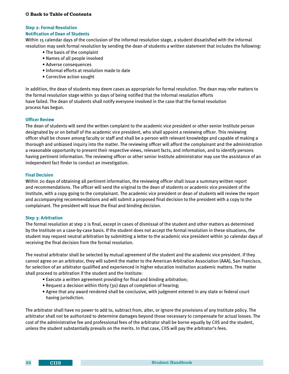#### <span id="page-29-0"></span>**Step 2: Formal Resolution**

#### **Notification of Dean of Students**

Within 15 calendar days of the conclusion of the informal resolution stage, a student dissatisfied with the informal resolution may seek formal resolution by sending the dean of students a written statement that includes the following:

- The basis of the complaint
- Names of all people involved
- Adverse consequences
- Informal efforts at resolution made to date
- Corrective action sought

In addition, the dean of students may deem cases as appropriate for formal resolution. The dean may refer matters to the formal resolution stage within 30 days of being notified that the informal resolution efforts have failed. The dean of students shall notify everyone involved in the case that the formal resolution process has begun.

#### **Officer Review**

The dean of students will send the written complaint to the academic vice president or other senior Institute person designated by or on behalf of the academic vice president, who shall appoint a reviewing officer. This reviewing officer shall be chosen among faculty or staff and shall be a person with relevant knowledge and capable of making a thorough and unbiased inquiry into the matter. The reviewing officer will afford the complainant and the administration a reasonable opportunity to present their respective views, relevant facts, and information, and to identify persons having pertinent information. The reviewing officer or other senior Institute administrator may use the assistance of an independent fact finder to conduct an investigation.

#### **Final Decision**

Within 20 days of obtaining all pertinent information, the reviewing officer shall issue a summary written report and recommendations. The officer will send the original to the dean of students or academic vice president of the Institute, with a copy going to the complainant. The academic vice president or dean of students will review the report and accompanying recommendations and will submit a proposed final decision to the president with a copy to the complainant. The president will issue the final and binding decision.

#### **Step 3: Arbitration**

The formal resolution at step 2 is final, except in cases of dismissal of the student and other matters as determined by the Institute on a case-by-case basis. If the student does not accept the formal resolution in these situations, the student may request neutral arbitration by submitting a letter to the academic vice president within 30 calendar days of receiving the final decision from the formal resolution.

The neutral arbitrator shall be selected by mutual agreement of the student and the academic vice president. If they cannot agree on an arbitrator, they will submit the matter to the American Arbitration Association (AAA), San Francisco, for selection of an arbitrator qualified and experienced in higher education institution academic matters. The matter shall proceed to arbitration if the student and the Institute:

- Execute a written agreement providing for final and binding arbitration;
- Request a decision within thirty (30) days of completion of hearing;
- Agree that any award rendered shall be conclusive, with judgment entered in any state or federal court having jurisdiction.

The arbitrator shall have no power to add to, subtract from, alter, or ignore the provisions of any Institute policy. The arbitrator shall not be authorized to determine damages beyond those necessary to compensate for actual losses. The cost of the administrative fee and professional fees of the arbitrator shall be borne equally by CIIS and the student, unless the student substantially prevails on the merits. In that case, CIIS will pay the arbitrator's fees.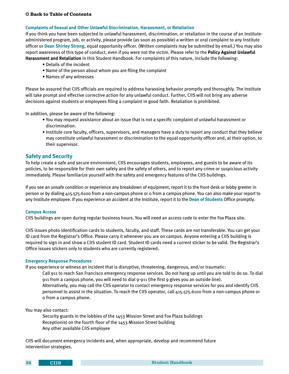#### <span id="page-30-0"></span>**Complaints of Sexual and Other Unlawful Discrimination, Harassment, or Retaliation**

If you think you have been subjected to unlawful harassment, discrimination, or retaliation in the course of an Instituteadministered program, job, or activity, please provide (as soon as possible) a written or oral complaint to any Institute officer or **[Dean Shirley Strong](#page-8-0)**, equal opportunity officer. (Written complaints may be submitted by email.) You may also report awareness of this type of conduct, even if you were not the victim. Please refer to the **[Policy Against Unlawful](#page-23-0)  [Harassment and Retaliation](#page-23-0)** in this Student Handbook. For complaints of this nature, include the following:

- Details of the incident
- Name of the person about whom you are filing the complaint
- Names of any witnesses

Please be assured that CIIS officials are required to address harassing behavior promptly and thoroughly. The Institute will take prompt and effective corrective action for any unlawful conduct. Further, CIIS will not bring any adverse decisions against students or employees filing a complaint in good faith. Retaliation is prohibited.

In addition, please be aware of the following:

- You may request assistance about an issue that is not a specific complaint of unlawful harassment or discrimination.
- Institute core faculty, officers, supervisors, and managers have a duty to report any conduct that they believe may constitute unlawful harassment or discrimination to the equal opportunity officer and, at their option, to their supervisor.

#### **Safety and Security**

To help create a safe and secure environment, CIIS encourages students, employees, and guests to be aware of its policies, to be responsible for their own safety and the safety of others, and to report any crime or suspicious activity immediately. Please familiarize yourself with the safety and emergency features of the CIIS buildings.

If you see an unsafe condition or experience any breakdown of equipment, report it to the front desk or lobby greeter in person or by dialing 415.575.6100 from a non-campus phone or 0 from a campus phone. You can also make your report to any Institute employee. If you experience an accident at the Institute, report it to the **[Dean of Students](#page-8-0)** Office promptly.

#### **Campus Access**

CIIS buildings are open during regular business hours. You will need an access code to enter the Fox Plaza site.

CIIS issues photo identification cards to students, faculty, and staff. These cards are not transferable. You can get your ID card from the Registrar's Office. Please carry it whenever you are on campus. Anyone entering a CIIS building is required to sign in and show a CIIS student ID card. Student ID cards need a current sticker to be valid. The Registrar's Office issues stickers only to students who are currently registered.

#### **Emergency Response Procedures**

0 from a campus phone.

If you experience or witness an incident that is disruptive, threatening, dangerous, and/or traumatic:

 Call 911 to reach San Francisco emergency response services. Do not hang up until you are told to do so. To dial 911 from a campus phone, you will need to dial 9-911 (the first 9 gives you an outside line). Alternatively, you may call the CIIS operator to contact emergency response services for you and identify CIIS personnel to assist in the situation. To reach the CIIS operator, call 415.575.6100 from a non-campus phone or

You may also contact:

Security guards in the lobbies of the 1453 Mission Street and Fox Plaza buildings Receptionist on the fourth floor of the 1453 Mission Street building Any other available CIIS employee

CIIS will document emergency incidents and, when appropriate, develop and recommend future intervention strategies.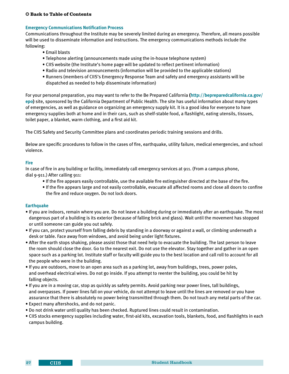#### <span id="page-31-0"></span>**Emergency Communications Notification Process**

Communications throughout the Institute may be severely limited during an emergency. Therefore, all means possible will be used to disseminate information and instructions. The emergency communications methods include the following:

- Email blasts
- Telephone alerting (announcements made using the in-house telephone system)
- CIIS website (the Institute's home page will be updated to reflect pertinent information)
- Radio and television announcements (information will be provided to the applicable stations)
- Runners (members of CIIS's Emergency Response Team and safety and emergency assistants will be dispatched as needed to help disseminate information)

For your personal preparation, you may want to refer to the Be Prepared California **([http://bepreparedcalifornia.ca.gov/](http://bepreparedcalifornia.ca.gov/epo) [epo\)](http://bepreparedcalifornia.ca.gov/epo)** site, sponsored by the California Department of Public Health. The site has useful information about many types of emergencies, as well as guidance on organizing an emergency supply kit. It is a good idea for everyone to have emergency supplies both at home and in their cars, such as shelf-stable food, a flashlight, eating utensils, tissues, toilet paper, a blanket, warm clothing, and a first aid kit.

The CIIS Safety and Security Committee plans and coordinates periodic training sessions and drills.

Below are specific procedures to follow in the cases of fire, earthquake, utility failure, medical emergencies, and school violence.

#### **Fire**

In case of fire in any building or facility, immediately call emergency services at 911. (From a campus phone, dial 9-911.) After calling 911:

- If the fire appears easily controllable, use the available fire extinguisher directed at the base of the fire.
- If the fire appears large and not easily controllable, evacuate all affected rooms and close all doors to confine the fire and reduce oxygen. Do not lock doors.

#### **Earthquake**

- If you are indoors, remain where you are. Do not leave a building during or immediately after an earthquake. The most dangerous part of a building is its exterior (because of falling brick and glass). Wait until the movement has stopped or until someone can guide you out safely.
- If you can, protect yourself from falling debris by standing in a doorway or against a wall, or climbing underneath a desk or table. Face away from windows, and avoid being under light fixtures.
- After the earth stops shaking, please assist those that need help to evacuate the building. The last person to leave the room should close the door. Go to the nearest exit. Do not use the elevator. Stay together and gather in an open space such as a parking lot. Institute staff or faculty will guide you to the best location and call roll to account for all the people who were in the building.
- If you are outdoors, move to an open area such as a parking lot, away from buildings, trees, power poles, and overhead electrical wires. Do not go inside. If you attempt to reenter the building, you could be hit by falling objects.
- If you are in a moving car, stop as quickly as safety permits. Avoid parking near power lines, tall buildings, and overpasses. If power lines fall on your vehicle, do not attempt to leave until the lines are removed or you have assurance that there is absolutely no power being transmitted through them. Do not touch any metal parts of the car.
- Expect many aftershocks, and do not panic.
- Do not drink water until quality has been checked. Ruptured lines could result in contamination.
- CIIS stocks emergency supplies including water, first-aid kits, excavation tools, blankets, food, and flashlights in each campus building.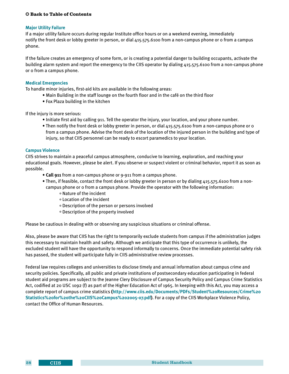#### <span id="page-32-0"></span>**Major Utility Failure**

If a major utility failure occurs during regular Institute office hours or on a weekend evening, immediately notify the front desk or lobby greeter in person, or dial 415.575.6100 from a non-campus phone or 0 from a campus phone.

If the failure creates an emergency of some form, or is creating a potential danger to building occupants, activate the building alarm system and report the emergency to the CIIS operator by dialing 415.575.6100 from a non-campus phone or 0 from a campus phone.

#### **Medical Emergencies**

To handle minor injuries, first-aid kits are available in the following areas:

- Main Building in the staff lounge on the fourth floor and in the café on the third floor
- Fox Plaza building in the kitchen

If the injury is more serious:

- Initiate first aid by calling 911. Tell the operator the injury, your location, and your phone number.
- Then notify the front desk or lobby greeter in person, or dial 415.575.6100 from a non-campus phone or 0 from a campus phone. Advise the front desk of the location of the injured person in the building and type of injury, so that CIIS personnel can be ready to escort paramedics to your location.

#### **Campus Violence**

CIIS strives to maintain a peaceful campus atmosphere, conducive to learning, exploration, and reaching your educational goals. However, please be alert. If you observe or suspect violent or criminal behavior, report it as soon as possible.

- **Call 911** from a non-campus phone or 9-911 from a campus phone.
- Then, if feasible, contact the front desk or lobby greeter in person or by dialing 415.575.6100 from a noncampus phone or 0 from a campus phone. Provide the operator with the following information:
	- ° Nature of the incident
	- ° Location of the incident
	- ° Description of the person or persons involved
	- ° Description of the property involved

Please be cautious in dealing with or observing any suspicious situations or criminal offense.

Also, please be aware that CIIS has the right to temporarily exclude students from campus if the administration judges this necessary to maintain health and safety. Although we anticipate that this type of occurrence is unlikely, the excluded student will have the opportunity to respond informally to concerns. Once the immediate potential safety risk has passed, the student will participate fully in CIIS administrative review processes.

Federal law requires colleges and universities to disclose timely and annual information about campus crime and security policies. Specifically, all public and private institutions of postsecondary education participating in federal student aid programs are subject to the Jeanne Clery Disclosure of Campus Security Policy and Campus Crime Statistics Act, codified at 20 USC 1092 (f) as part of the Higher Education Act of 1965. In keeping with this Act, you may access a complete report of campus crime statistics **([http://www.ciis.edu/Documents/PDFs/Student%20Resources/Crime%20](http://www.ciis.edu/Documents/PDFs/Student%20Resources/Crime%20Statistics%20for%20the%20CIIS%20Campus%202005-07.pdf) [Statistics%20for%20the%20CIIS%20Campus%202005-07.pdf\)](http://www.ciis.edu/Documents/PDFs/Student%20Resources/Crime%20Statistics%20for%20the%20CIIS%20Campus%202005-07.pdf)**. For a copy of the CIIS Workplace Violence Policy, contact the Office of Human Resources.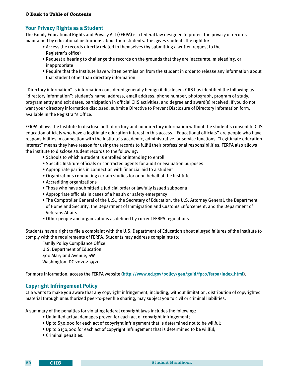#### <span id="page-33-0"></span>**Your Privacy Rights as a Student**

The Family Educational Rights and Privacy Act (FERPA) is a federal law designed to protect the privacy of records maintained by educational institutions about their students. This gives students the right to:

- Access the records directly related to themselves (by submitting a written request to the Registrar's office)
- Request a hearing to challenge the records on the grounds that they are inaccurate, misleading, or inappropriate
- Require that the Institute have written permission from the student in order to release any information about that student other than directory information

"Directory information" is information considered generally benign if disclosed. CIIS has identified the following as "directory information": student's name, address, email address, phone number, photograph, program of study, program entry and exit dates, participation in official CIIS activities, and degree and award(s) received. If you do not want your directory information disclosed, submit a Directive to Prevent Disclosure of Directory Information form, available in the Registrar's Office.

FERPA allows the Institute to disclose both directory and nondirectory information without the student's consent to CIIS education officials who have a legitimate education interest in this access. "Educational officials" are people who have responsibilities in connection with the Institute's academic, administrative, or service functions. "Legitimate education interest" means they have reason for using the records to fulfill their professional responsibilities. FERPA also allows the institute to disclose student records to the following:

- Schools to which a student is enrolled or intending to enroll
- Specific Institute officials or contracted agents for audit or evaluation purposes
- Appropriate parties in connection with financial aid to a student
- Organizations conducting certain studies for or on behalf of the Institute
- Accrediting organizations
- Those who have submitted a judicial order or lawfully issued subpoena
- Appropriate officials in cases of a health or safety emergency
- The Comptroller General of the U.S., the Secretary of Education, the U.S. Attorney General, the Department of Homeland Security, the Department of Immigration and Customs Enforcement, and the Department of Veterans Affairs
- Other people and organizations as defined by current FERPA regulations

Students have a right to file a complaint with the U.S. Department of Education about alleged failures of the Institute to comply with the requirements of FERPA. Students may address complaints to:

Family Policy Compliance Office U.S. Department of Education 400 Maryland Avenue, SW Washington, DC 20202-5920

For more information, access the FERPA website **[\(http://www.ed.gov/policy/gen/guid/fpco/ferpa/index.html\)](http://www.ed.gov/policy/gen/guid/fpco/ferpa/index.html)**.

#### **Copyright Infringement Policy**

CIIS wants to make you aware that any copyright infringement, including, without limitation, distribution of copyrighted material through unauthorized peer-to-peer file sharing, may subject you to civil or criminal liabilities.

A summary of the penalties for violating federal copyright laws includes the following:

- Unlimited actual damages proven for each act of copyright infringement;
- Up to \$30,000 for each act of copyright infringement that is determined not to be willful;
- Up to \$150,000 for each act of copyright infringement that is determined to be willful;
- Criminal penalties.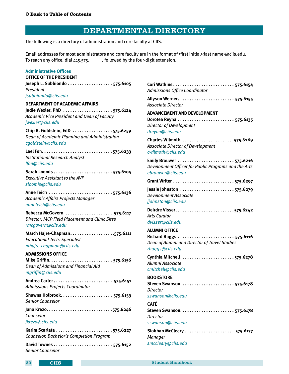## DEPARTMENTAL DIRECTORY

<span id="page-34-0"></span>The following is a directory of administration and core faculty at CIIS.

Email addresses for most administrators and core faculty are in the format of «first initial» last name>@ciis.edu. To reach any office, dial  $415.575...$   $-$ , followed by the four-digit extension.

#### **Administrative Offices**

| <b>OFFICE OF THE PRESIDENT</b>                                                        |                                                                     |
|---------------------------------------------------------------------------------------|---------------------------------------------------------------------|
|                                                                                       | <b>Cori Wat</b>                                                     |
| President                                                                             | Admissi                                                             |
| jsubbiondo@ciis.edu                                                                   | <b>Allyson</b>                                                      |
| <b>DEPARTMENT OF ACADEMIC AFFAIRS</b>                                                 | Associat                                                            |
| Judie Wexler, PhD 575.6124                                                            | <b>ADVANC</b>                                                       |
| Academic Vice President and Dean of Faculty                                           | <b>Dorotea</b>                                                      |
| jwexler@ciis.edu                                                                      | <b>Director</b>                                                     |
| Chip B. Goldstein, EdD 575.6259                                                       | dreyna@                                                             |
| Dean of Academic Planning and Administration                                          | <b>Charles</b>                                                      |
| cgoldstein@ciis.edu                                                                   | Associat                                                            |
|                                                                                       | cwilmoth                                                            |
| <b>Institutional Research Analyst</b>                                                 | <b>Emily Br</b>                                                     |
| lfon@ciis.edu                                                                         | Develop                                                             |
| <b>Executive Assistant to the AVP</b><br>sloomis@ciis.edu                             | ebrouwe<br><b>Grant Wi</b>                                          |
|                                                                                       | Jessie Jo                                                           |
| Academic Affairs Projects Manager                                                     | Develop                                                             |
| anneteich@ciis.edu                                                                    | jjohnsto                                                            |
| Rebecca McGovern  575.6117                                                            | Deirdre \                                                           |
| Director, MCP Field Placement and Clinic Sites                                        | <b>Arts Curd</b>                                                    |
| rmcgovern@ciis.edu                                                                    | dvisser@                                                            |
| <b>Educational Tech. Specialist</b><br>mhajre-chapman@ciis.edu                        | <b>ALUMNI</b><br><b>Richard</b><br>Dean of<br>rbuggs@               |
| <b>ADMISSIONS OFFICE</b><br>Dean of Admissions and Financial Aid<br>mgriffin@ciis.edu | Cynthia<br>Alumni A<br>cmitchel                                     |
| Andrea Carter 575.6151<br><b>Admissions Projects Coordinator</b>                      | <b>BOOKST</b><br><b>Steven S</b><br><b>Director</b>                 |
| Senior Counselor                                                                      | <b>sswanso</b>                                                      |
| Counselor<br>jkrezo@ciis.edu                                                          | <b>CAFÉ</b><br><b>Steven S</b><br><b>Director</b><br><b>sswanso</b> |
|                                                                                       | Siobhan                                                             |
| Counselor, Bachelor's Completion Program                                              | <b>Manage</b>                                                       |
| <b>Senior Counselor</b>                                                               | smcclea                                                             |

| Admissions Office Coordinator                                                                                       |
|---------------------------------------------------------------------------------------------------------------------|
| Associate Director                                                                                                  |
| <b>ADVANCEMENT AND DEVELOPMENT</b><br>Director of Development<br>dreyna@ciis.edu                                    |
| Charles Wilmoth 575.6269<br><b>Associate Director of Development</b><br>cwilmoth@ciis.edu                           |
| Emily Brouwer 575.6216<br>Development Officer for Public Programs and the Arts<br>ebrouwer@ciis.edu                 |
|                                                                                                                     |
| Jessie Johnston 575.6279<br>Development Associate<br>jjohnston@ciis.edu                                             |
| <b>Arts Curator</b><br>dvisser@ciis.edu                                                                             |
| <b>ALUMNI OFFICE</b><br>Richard Buggs  575.6116<br>Dean of Alumni and Director of Travel Studies<br>rbuggs@ciis.edu |
| Alumni Associate<br>cmitchell@ciis.edu                                                                              |
| <b>BOOKSTORE</b><br>Steven Swanson<br>. 575.6178<br><b>Director</b><br>sswanson@ciis.edu                            |
| <b>CAFÉ</b>                                                                                                         |
| <b>Director</b><br>sswanson@ciis.edu                                                                                |
| Siobhan McCleary  575.6177<br>Manager<br>smccleary@ciis.edu                                                         |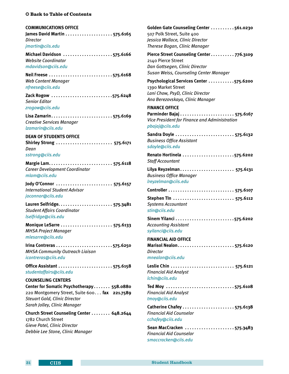#### <span id="page-35-0"></span>**COMMUNICATIONS OFFICE**

**James David Martin. . . 575.6165** *Director [jmartin@ciis.edu](mailto:jmartin%40ciis.edu?subject=)*

**Michael Davidson. . 575.6166** *Website Coordinator [mdavidson@ciis.edu](mailto:mdavidson%40ciis.edu?subject=)*

**Neil Freese ...........................575.6168** *Web Content Manager [nfreese@ciis.edu](mailto:nfreese%40ciis.edu?subject=)*

**Zack Rogow. . 575.6248** *Senior Editor [zrogow@ciis.edu](mailto:zrogow%40ciis.edu?subject=)*

**Lisa Zamarin. . . 575.6169** *Creative Services Manager [lzamarin@ciis.edu](mailto:lzamarin%40ciis.edu?subject=)*

#### **DEAN OF STUDENTS OFFICE**

**Shirley Strong. . . 575.6171** *Dean [sstrong@ciis.edu](mailto:sstrong%40ciis.edu?subject=)*

**Margie Lam. . . 575.6118** *Career Development Coordinator [mlam@ciis.edu](mailto:mlam%40ciis.edu?subject=)*

**Jody O'Connor. . . 575.6157** *International Student Advisor [joconnor@ciis.edu](mailto:joconnor%40ciis.edu?subject=)*

**Lauren Selfridge. . . 575.3481** *Student Affairs Coordinator [lselfridge@ciis.edu](mailto:lselfridge%40ciis.edu%20?subject=)*

**Monique LeSarre. . . 575.6133** *MHSA Project Manager [mlesarre@ciis.edu](mailto:mlesarre%40ciis.edu?subject=)*

**Irina Contreras.........................575.6250** *MHSA Community Outreach Liaison [icontreras@ciis.edu](mailto:icontreras%40ciis.edu?subject=)*

**Office Assistant. . . 575.6158** *[studentaffairs@ciis.edu](mailto:studentaffairs%40ciis.edu?subject=)*

**COUNSELING CENTERS Center for Somatic Psychotherapy. . . 558.0880** 220 Montgomery Street, Suite 600. . . **fax 221.7589** *Steuart Gold, Clinic Director Sarah Jolley, Clinic Manager*

**Church Street Counseling Center. . . 648.2644** 1782 Church Street *Gieve Patel, Clinic Director Debbie Lee Stone, Clinic Manager*

Golden Gate Counseling Center . . . . . . . . . 561.0230 507 Polk Street, Suite 400 *Jessica Wallace, Clinic Director Therese Bogan, Clinic Manager*

**Pierce Street Counseling Center. . . 776.3109** 2140 Pierce Street *Dan Gottsegen, Clinic Director Susan Weiss, Counseling Center Manager*

Psychological Services Center . . . . . . . . . . . 575.6200 1390 Market Street *Lani Chow, PsyD, Clinic Director Ana Berezovskaya, Clinic Manager*

#### **FINANCE OFFICE**

**Parminder Bajaj. . . 575.6167** *Vice President for Finance and Administration [pbajaj@ciis.edu](mailto:pbajaj%40ciis.edu?subject=)*

**Sandra Doyle. . . 575.6132** *Business Office Assistant [sdoyle@ciis.edu](mailto:sdoyle%40ciis.edu?subject=)*

**Renato Hortinela ......................575.6202** *Staff Accountant*

**Lilya Reyzelman. . . 575.6131** *Business Office Manager [lreyzelman@ciis.edu](mailto:lreyzelman%40ciis.edu?subject=)*

| Systems Accountant |  |
|--------------------|--|

#### *[stin@ciis.edu](mailto:stin%40ciis.edu?subject=)*

**Sinem Yilanci. . 575.6202** *Accounting Assistant [syilanci@ciis.edu](mailto:syilanci%40ciis.edu?subject=)*

#### **FINANCIAL AID OFFICE**

**Marisol Nealon. . . 575.6120** *Director*

*[mnealon@ciis.edu](mailto:mnealon%40ciis.edu?subject=)*

**Leslie Chin. . . 575.6121** *Financial Aid Analyst [lchin@ciis.edu](mailto:lchin%40ciis.edu?subject=)*

**Ted Moy. . 575.6108** *Financial Aid Analyst [tmoy@ciis.edu](mailto:tmoy%40ciis.edu?subject=)*

**Catherine Chafey. . . 575.6138** *Financial Aid Counselor [cchafey@ciis.edu](mailto:cchafey%40ciis.edu?subject=)*

Sean MacCracken ....................575.3483 *Financial Aid Counselor [smaccracken@ciis.edu](mailto:smaccracken%40ciis.edu?subject=)*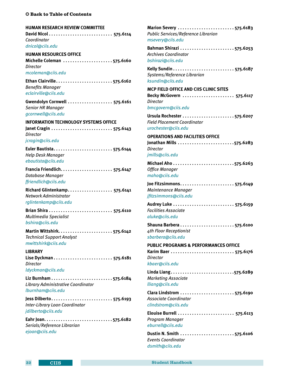<span id="page-36-0"></span>**HUMAN RESEARCH REVIEW COMMITTEE David Nicol. . . 575.6114** *Coordinator*

*[dnicol@ciis.edu](mailto:dnicol%40ciis.edu?subject=)*

**HUMAN RESOURCES OFFICE Michelle Coleman. . 575.6160** *Director [mcoleman@ciis.edu](mailto:mcoleman%40ciis.edu?subject=)*

**Ethan Clairville. . . 575.6162** *Benefits Manager [eclairville@ciis.edu]( (http://psychservicescenter.com/))*

**Gwendolyn Cornwell. . . 575.6161** *Senior HR Manager [gcornwell@ciis.edu](mailto:gcornwell%40ciis.edu?subject=)*

**INFORMATION TECHNOLOGY SYSTEMS OFFICE Janet Cragin. . . 575.6143** *Director [jcragin@ciis.edu](mailto:jcragin%40ciis.edu?subject=)*

**Euler Bautista. . . 575.6144** *Help Desk Manager [ebautista@ciis.edu](mailto:ebautista%40ciis.edu?subject=)*

**Francia Friendlich. . . 575.6147** *Database Manager [ffriendlich@ciis.edu](mailto:ffriendlich%40ciis.edu?subject=)*

**Richard Glintenkamp. . . 575.6141** *Network Administrator [rglintenkamp@ciis.edu](mailto:rglintenkamp%40ciis.edu?subject=)*

**Brian Shira. . . 575.6110** *Multimedia Specialist [bshira@ciis.edu](mailto:bshira%40ciis.edu?subject=)*

**Martin Wittshirk. . . 575.6142** *Technical Support Analyst [mwittshirk@ciis.edu](mailto:mwittshirk%40ciis.edu?subject=)*

**LIBRARY Lise Dyckman. . . 575.6181** *Director [ldyckman@ciis.edu](mailto:ldyckman%40ciis.edu?subject=)*

**Liz Burnham. . 575.6184** *Library Administrative Coordinator [lburnham@ciis.edu](mailto:lburnham%40ciis.edu?subject=)*

**Jess Dilberto. . . 575.6193** *Inter-Library Loan Coordinator [jdilberto@ciis.edu](mailto:jdilberto%40ciis.edu?subject=)*

**Eahr Joan. . . . . . . . . . . . . . . . . . . . . . . . . . . . . 575.6182** *Serials/Reference Librarian [ejoan@ciis.edu](mailto:ejoan%40ciis.edu?subject=)*

**Marion Severy. . . 575.6183** *Public Services/Reference Librarian [msevery@ciis.edu](mailto:msevery%40ciis.edu?subject=)* **Bahman Shirazi. . 575.6253** *Archives Coordinator [bshirazi@ciis.edu](mailto:bshirazi%40ciis.edu?subject=)* **Kelly Sundin. . . 575.6187** *Systems/Reference Librarian [ksundin@ciis.edu](mailto:ksundin%40ciis.edu?subject=)* **MCP FIELD OFFICE AND CIIS CLINIC SITES Becky McGovern. . . 575.6117** *Director [bmcgovern@ciis.edu](mailto:bmcgovern%40ciis.edu?subject=)* **Ursula Rochester. . 575.6207** *Field Placement Coordinator [urochester@ciis.edu](mailto:urochester%40ciis.edu?subject=)* **OPERATIONS AND FACILITIES OFFICE Jonathan Mills. . 575.6283** *Director [jmills@ciis.edu](mailto:jmills%40ciis.edu?subject=)* **Michael Aho. . 575.6263** *Office Manager [maho@ciis.edu](mailto:maho%40ciis.edu?subject=)* **Joe Fitzsimmons. . . 575.6149** *Maintenance Manager [jfitzsimmons@ciis.edu](mailto:jfitzsimmons%40ciis.edu?subject=)* **Audrey Luke. . . 575.6159** *Facilities Associate [aluke@ciis.edu](mailto:aluke%40ciis.edu?subject=)* **Shauna Barbera. . . 575.6100** *4th Floor Receptionist [sbarbera@ciis.edu](mailto:sbarbera%40ciis.edu?subject=)* **PUBLIC PROGRAMS & PERFORMANCES OFFICE Karim Baer. . . 575.6176** *Director [kbaer@ciis.edu](mailto:kbaer%40ciis.edu?subject=)* Linda Liang............................575.6289 *Marketing Associate [lliang@ciis.edu](mailto:lliang%40ciis.edu?subject=)* **Clara Lindstrom. . . 575.6190** *Associate Coordinator [clindstrom@ciis.edu](mailto:clindstrom%40ciis.edu?subject=)* **Elouise Burrell. . . 575.6113** *Program Manager [eburrell@ciis.edu](mailto:eburrell%40ciis.edu?subject=)* **Dustin N. Smith. . 575.6106** *Events Coordinator*

*[dsmith@ciis.edu](mailto:dsmith%40ciis.edu?subject=)*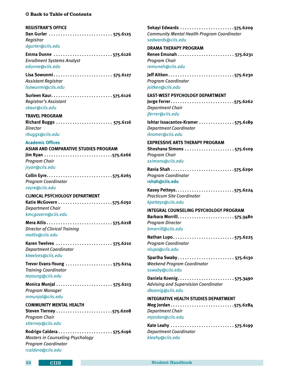#### <span id="page-37-0"></span>**REGISTRAR'S OFFICE**

**Dan Gurler. . . 575.6125** *Registrar [dgurler@ciis.edu](mailto:dgurler%40ciis.edu?subject=)*

Emma Dunne ..........................575.6126 *Enrollment Systems Analyst [edunne@ciis.edu](mailto:edunne%40ciis.edu?subject=)*

**Lisa Sowunmi. . . 575.6127** *Assistant Registrar [lsowunmi@ciis.edu](mailto:lsowunmi%40ciis.edu?subject=)*

**Surleen Kaur. . 575.6126** *Registrar's Assistant [skaur@ciis.edu](mailto:skaur%40ciis.edu?subject=)*

**TRAVEL PROGRAM Richard Buggs. . . 575.6116** *Director [rbuggs@ciis.edu](mailto:rbuggs%40ciis.edu?subject=)*

#### **Academic Offices**

**ASIAN AND COMPARATIVE STUDIES PROGRAM Jim Ryan. . 575.6266** *Program Chair [jryan@ciis.edu](mailto:jryan%40ciis.edu?subject=)*

**Collin Eyre. . 575.6265** *Program Coordinator [ceyre@ciis.edu](mailto:ceyre%40ciis.edu?subject=)* 

**CLINICAL PSYCHOLOGY DEPARTMENT Katie McGovern. . 575.6292** *Department Chair [kmcgovern@ciis.edu](mailto:kmcgovern%40ciis.edu?subject=)*

**Mera Atlis. . 575.6218** *Director of Clinical Training [matlis@ciis.edu](mailto:matlis%40ciis.edu?subject=)*

**Karen Twelves. . . 575.6210** *Department Coordinator [ktwelves@ciis.edu](mailto:ktwelves%40ciis.edu?subject=)*

**Trevor Evans-Young. . . 575.6214** *Training Coordinator [teyoung@ciis.edu](mailto:teyoung%40ciis.edu?subject=)*

**Monica Munjal. . . 575.6213** *Program Manager [mmunjal@ciis.edu](mailto:mmunjal%40ciis.edu?subject=)*

#### **COMMUNITY MENTAL HEALTH**

**Steven Tierney. . 575.6208** *Program Chair [stierney@ciis.edu](mailto:stierney%40ciis.edu?subject=)*

Rodrigo Caldera.......................575.6196 *Masters in Counseling Psychology Program Coordinator [rcaldera@ciis.edu](mailto:rcaldera%40ciis.edu?subject=)*

**Sekayi Edwards. . 575.6209** *Community Mental Health Program Coordinator [sedwards@ciis.edu](mailto:sedwards%40ciis.edu?subject=)* **DRAMA THERAPY PROGRAM Renee Emunah. . . 575.6231** *Program Chair [remunah@ciis.edu](mailto:remunah%40ciis.edu?subject=)* **Jeff Aitken...........................575.6230** *Program Coordinator [jaitken@ciis.edu](mailto:jaitken%40ciis.edu?subject=)* **EAST-WEST PSYCHOLOGY DEPARTMENT Jorge Ferrer..........................575.6262** *Department Chair [jferrer@ciis.edu](mailto:jferrer%40ciis.edu?subject=)* **Ishtar Issacantos-Kramer..............575.6189** *Department Coordinator [ikramer@ciis.edu](mailto:ikramer%40ciis.edu?subject=)* **EXPRESSIVE ARTS THERAPY PROGRAM Shoshana Simons. . . 575.6109** *Program Chair [ssimons@ciis.edu](mailto:ssimons%40ciis.edu?subject=)* Rania Shah...........................575.6290 *Program Coordinator* **[rshah@ciis.edu](mailto:rshah%40ciis.edu?subject=) Kasey Petteys. . 575.6224** *Practicum Site Coordinator [kpetteys@ciis.edu](mailto:kpetteys%40ciis.edu?subject=)* **INTEGRAL COUNSELING PSYCHOLOGY PROGRAM Barbara Morrill. . 575.3480** *Program Director [bmorrill@ciis.edu](mailto:bmorrill%40ciis.edu?subject=)* Nathan Lupo..........................575.6225 *Program Coordinator [nlupo@ciis.edu](mailto:nlupo%40ciis.edu?subject=)* **Sparlha Swaby. . . 575.6130** *Weekend Program Coordinator [sswaby@ciis.edu](mailto:sswaby%40ciis.edu?subject=)* **Daniela Koenig. . 575.3490** *Advising and Supervision Coordinator [dkoenig@ciis.edu](mailto:dkoenig%40ciis.edu%20?subject=)*  **INTEGRATIVE HEALTH STUDIES DEPARTMENT** Meg Jordan...........................575.6284 *Department Chair [mjordan@ciis.edu](mailto:mjordan%40ciis.edu?subject=)* **Kate Leahy. . . 575.6199** *Department Coordinator*

*[kleahy@ciis.edu](mailto:kleahy%40ciis.edu?subject=)*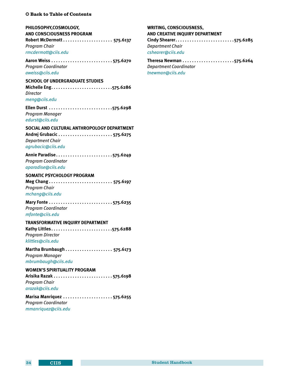<span id="page-38-0"></span>

| <b>C</b> Back to Table of Contents                                                                         |
|------------------------------------------------------------------------------------------------------------|
| PHILOSOPHY, COSMOLOGY,<br><b>AND CONSCIOUSNESS PROGRAM</b><br>Program Chair<br>rmcdermott@ciis.edu         |
| <b>Program Coordinator</b><br>aweiss@ciis.edu                                                              |
| <b>SCHOOL OF UNDERGRADUATE STUDIES</b><br>Director<br>meng@ciis.edu                                        |
| Ellen Durst 575.6298<br>Program Manager<br>edurst@ciis.edu                                                 |
| SOCIAL AND CULTURAL ANTHROPOLOGY DEPARTMENT<br><b>Department Chair</b><br>agrubacic@ciis.edu               |
| Annie Paradise575.6249<br><b>Program Coordinator</b><br>aparadise@ciis.edu                                 |
| <b>SOMATIC PSYCHOLOGY PROGRAM</b><br>Program Chair<br>mchang@ciis.edu                                      |
| <b>Program Coordinator</b><br>mfonte@ciis.edu                                                              |
| TRANSFORMATIVE INQUIRY DEPARTMENT<br>Kathy Littles575.6288<br><b>Program Director</b><br>klittles@ciis.edu |
| Program Manager<br>mbrumbaugh@ciis.edu                                                                     |
| <b>WOMEN'S SPIRITUALITY PROGRAM</b><br>Program Chair<br>arazak@ciis.edu                                    |
| Marisa Manriquez 575.6255<br>Program Coordinator                                                           |

*[mmanriquez@ciis.edu](mailto:mmanriquez%40ciis.edu?subject=)*

## **WRITING, CONSCIOUSNESS, AND CREATIVE INQUIRY DEPARTMENT Cindy Shearer. . 575.6285** *Department Chair [cshearer@ciis.edu](mailto:cshearer%40ciis.edu?subject=)*

**Theresa Newman. . 575.6264** *Department Coordinator [tnewman@ciis.edu](mailto:tnewman%40ciis.edu?subject=)*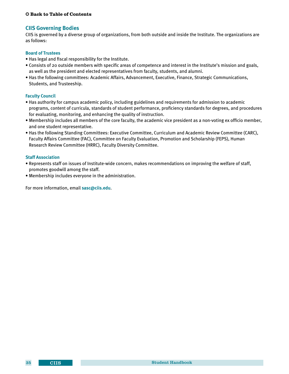#### <span id="page-39-0"></span>**CIIS Governing Bodies**

CIIS is governed by a diverse group of organizations, from both outside and inside the Institute. The organizations are as follows:

#### **Board of Trustees**

- Has legal and fiscal responsibility for the Institute.
- Consists of 20 outside members with specific areas of competence and interest in the Institute's mission and goals, as well as the president and elected representatives from faculty, students, and alumni.
- Has the following committees: Academic Affairs, Advancement, Executive, Finance, Strategic Communications, Students, and Trusteeship.

#### **Faculty Council**

- Has authority for campus academic policy, including guidelines and requirements for admission to academic programs, content of curricula, standards of student performance, proficiency standards for degrees, and procedures for evaluating, monitoring, and enhancing the quality of instruction.
- Membership includes all members of the core faculty, the academic vice president as a non-voting ex officio member, and one student representative.
- Has the following Standing Committees: Executive Committee, Curriculum and Academic Review Committee (CARC), Faculty Affairs Committee (FAC), Committee on Faculty Evaluation, Promotion and Scholarship (FEPS), Human Research Review Committee (HRRC), Faculty Diversity Committee.

#### **Staff Association**

- Represents staff on issues of Institute-wide concern, makes recommendations on improving the welfare of staff, promotes goodwill among the staff.
- Membership includes everyone in the administration.

For more information, email **<sasc@ciis.edu>**.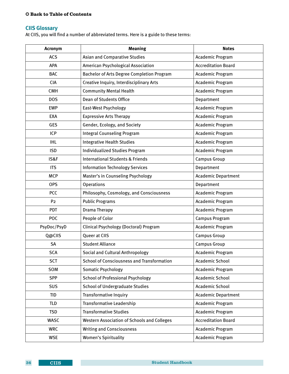## <span id="page-40-0"></span>**CIIS Glossary**

At CIIS, you will find a number of abbreviated terms. Here is a guide to these terms:

| Acronym        | <b>Meaning</b>                                     | <b>Notes</b>               |
|----------------|----------------------------------------------------|----------------------------|
| <b>ACS</b>     | <b>Asian and Comparative Studies</b>               | Academic Program           |
| APA            | American Psychological Association                 | <b>Accreditation Board</b> |
| <b>BAC</b>     | Bachelor of Arts Degree Completion Program         | Academic Program           |
| <b>CIA</b>     | Creative Inquiry, Interdisciplinary Arts           | Academic Program           |
| <b>CMH</b>     | <b>Community Mental Health</b>                     | Academic Program           |
| <b>DOS</b>     | <b>Dean of Students Office</b>                     | Department                 |
| <b>EWP</b>     | East-West Psychology                               | Academic Program           |
| <b>EXA</b>     | <b>Expressive Arts Therapy</b>                     | Academic Program           |
| <b>GES</b>     | Gender, Ecology, and Society                       | Academic Program           |
| <b>ICP</b>     | <b>Integral Counseling Program</b>                 | Academic Program           |
| <b>IHL</b>     | <b>Integrative Health Studies</b>                  | Academic Program           |
| <b>ISD</b>     | <b>Individualized Studies Program</b>              | Academic Program           |
| IS&F           | <b>International Students &amp; Friends</b>        | <b>Campus Group</b>        |
| <b>ITS</b>     | <b>Information Technology Services</b>             | Department                 |
| <b>MCP</b>     | Master's in Counseling Psychology                  | <b>Academic Department</b> |
| <b>OPS</b>     | Operations                                         | Department                 |
| <b>PCC</b>     | Philosophy, Cosmology, and Consciousness           | Academic Program           |
| P <sub>2</sub> | <b>Public Programs</b>                             | Academic Program           |
| <b>PDT</b>     | Drama Therapy                                      | Academic Program           |
| <b>POC</b>     | People of Color                                    | <b>Campus Program</b>      |
| PsyDoc/PsyD    | Clinical Psychology (Doctoral) Program             | Academic Program           |
| Q@CIIS         | Queer at CIIS                                      | <b>Campus Group</b>        |
| <b>SA</b>      | <b>Student Alliance</b>                            | <b>Campus Group</b>        |
| <b>SCA</b>     | Social and Cultural Anthropology                   | Academic Program           |
| <b>SCT</b>     | <b>School of Consciousness and Transformation</b>  | Academic School            |
| SOM            | <b>Somatic Psychology</b>                          | <b>Academic Program</b>    |
| <b>SPP</b>     | <b>School of Professional Psychology</b>           | <b>Academic School</b>     |
| <b>SUS</b>     | <b>School of Undergraduate Studies</b>             | <b>Academic School</b>     |
| <b>TID</b>     | <b>Transformative Inquiry</b>                      | <b>Academic Department</b> |
| <b>TLD</b>     | Transformative Leadership                          | Academic Program           |
| <b>TSD</b>     | <b>Transformative Studies</b>                      | <b>Academic Program</b>    |
| <b>WASC</b>    | <b>Western Association of Schools and Colleges</b> | <b>Accreditation Board</b> |
| <b>WRC</b>     | <b>Writing and Consciousness</b>                   | Academic Program           |
| <b>WSE</b>     | <b>Women's Spirituality</b>                        | Academic Program           |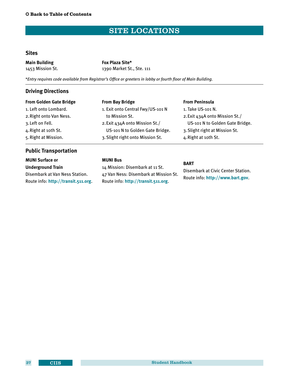## SITE LOCATIONS

#### <span id="page-41-0"></span>**Sites**

| <b>Main Building</b> | <b>Fox Plaza Site*</b>    |
|----------------------|---------------------------|
| 1453 Mission St.     | 1390 Market St., Ste. 111 |

\**Entry requires code available from Registrar's Office or greeters in lobby or fourth floor of Main Building.*

#### **Driving Directions**

| <b>From Golden Gate Bridge</b> | <b>From Bay Bridge</b>            | <b>From Peninsula</b>           |
|--------------------------------|-----------------------------------|---------------------------------|
| 1. Left onto Lombard.          | 1. Exit onto Central Fwy/US-101 N | 1. Take US-101 N.               |
| 2. Right onto Van Ness.        | to Mission St.                    | 2. Exit 434A onto Mission St./  |
| 3. Left on Fell.               | 2. Exit 434A onto Mission St./    | US-101 N to Golden Gate Bridge. |
| 4. Right at 10th St.           | US-101 N to Golden Gate Bridge.   | 3. Slight right at Mission St.  |
| 5. Right at Mission.           | 3. Slight right onto Mission St.  | 4. Right at 10th St.            |
| <b>Public Transportation</b>   |                                   |                                 |

## **MUNI Surface or**

**Underground Train** Disembark at Van Ness Station. Route info: **<http://transit.511.org>**.

### **MUNI Bus**

14 Mission: Disembark at 11 St. 47 Van Ness: Disembark at Mission St. Route info: **<http://transit.511.org>**.

#### **BART**

Disembark at Civic Center Station. Route info: **<http://www.bart.gov>**.